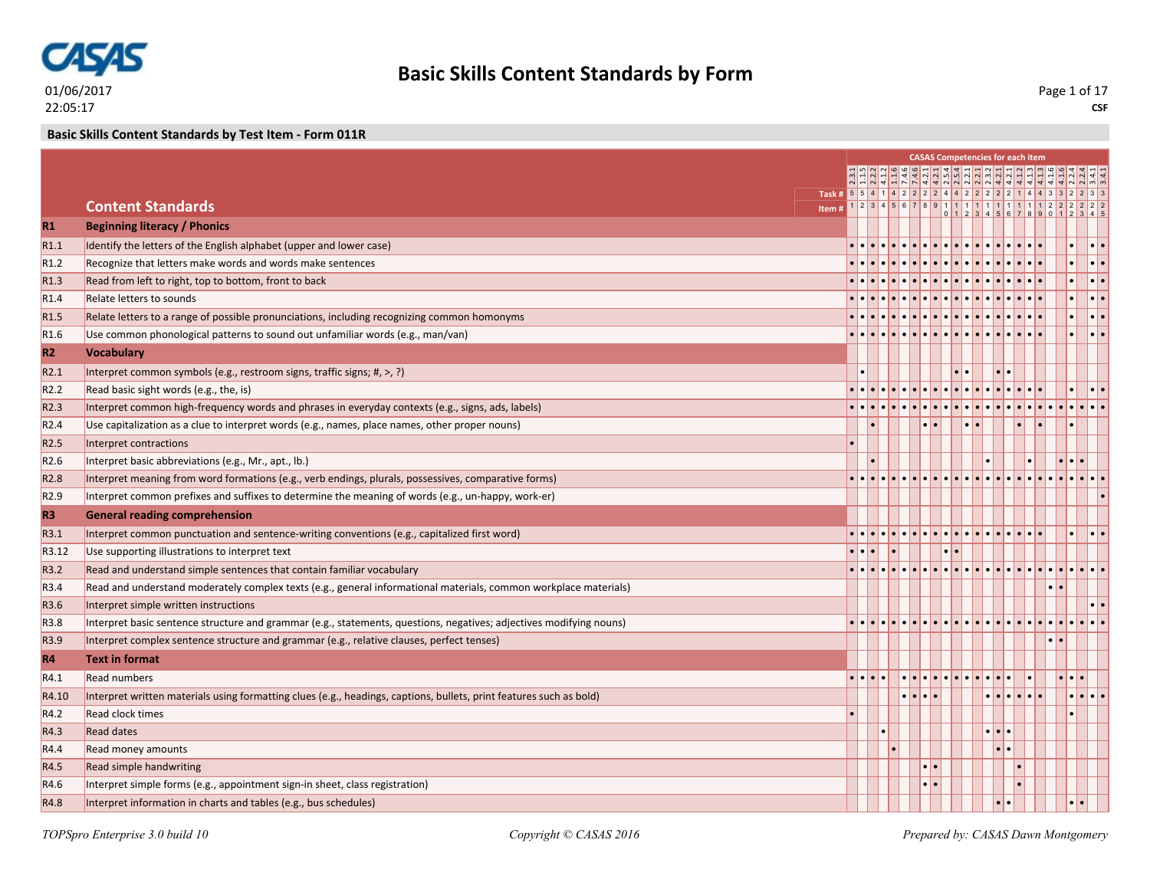

**CSF** Page 1 of 17

**Basic Skills Content Standards by Test Item - Form 011R**

|                  |                                                                                                                     |                                                          |  |     | <b>CASAS Competencies for each item</b> |  |               |                                |  |   |                         |
|------------------|---------------------------------------------------------------------------------------------------------------------|----------------------------------------------------------|--|-----|-----------------------------------------|--|---------------|--------------------------------|--|---|-------------------------|
|                  |                                                                                                                     |                                                          |  |     | पति के लोग लोग लोग के बाब के बाब        |  |               |                                |  |   |                         |
|                  |                                                                                                                     | Task # 5 5 4 1 4 2 2 2 2 4 4 2 2 2 2 2 1 4 4 3 3 2 2 3 3 |  |     |                                         |  |               |                                |  |   |                         |
|                  | <b>Content Standards</b>                                                                                            | Item#                                                    |  |     |                                         |  |               |                                |  |   |                         |
| R1               | <b>Beginning literacy / Phonics</b>                                                                                 |                                                          |  |     |                                         |  |               |                                |  |   |                         |
| R <sub>1.1</sub> | Identify the letters of the English alphabet (upper and lower case)                                                 |                                                          |  |     |                                         |  |               |                                |  |   | $  \cdot   \cdot$       |
| R <sub>1.2</sub> | Recognize that letters make words and words make sentences                                                          |                                                          |  |     |                                         |  |               |                                |  |   | $ \raisebox{.4ex}{.} .$ |
| R <sub>1.3</sub> | Read from left to right, top to bottom, front to back                                                               |                                                          |  |     |                                         |  |               |                                |  |   | . ا ا                   |
| R <sub>1.4</sub> | Relate letters to sounds                                                                                            |                                                          |  |     |                                         |  |               |                                |  |   | $ . $ .                 |
| R <sub>1.5</sub> | Relate letters to a range of possible pronunciations, including recognizing common homonyms                         |                                                          |  |     |                                         |  |               |                                |  |   | $  \centerdot  $        |
| R <sub>1.6</sub> | Use common phonological patterns to sound out unfamiliar words (e.g., man/van)                                      |                                                          |  |     |                                         |  |               |                                |  |   | ه ا ه ا                 |
| R <sub>2</sub>   | <b>Vocabulary</b>                                                                                                   |                                                          |  |     |                                         |  |               |                                |  |   |                         |
| R <sub>2.1</sub> | Interpret common symbols (e.g., restroom signs, traffic signs; #, >, ?)                                             |                                                          |  |     |                                         |  |               |                                |  |   |                         |
| R <sub>2.2</sub> | Read basic sight words (e.g., the, is)                                                                              |                                                          |  |     |                                         |  |               |                                |  |   |                         |
| R <sub>2.3</sub> | Interpret common high-frequency words and phrases in everyday contexts (e.g., signs, ads, labels)                   |                                                          |  |     |                                         |  |               |                                |  |   |                         |
| R <sub>2.4</sub> | Use capitalization as a clue to interpret words (e.g., names, place names, other proper nouns)                      |                                                          |  |     |                                         |  |               |                                |  |   |                         |
| R <sub>2.5</sub> | Interpret contractions                                                                                              |                                                          |  |     |                                         |  |               |                                |  |   |                         |
| R <sub>2.6</sub> | Interpret basic abbreviations (e.g., Mr., apt., lb.)                                                                |                                                          |  |     |                                         |  |               |                                |  |   |                         |
| R <sub>2.8</sub> | Interpret meaning from word formations (e.g., verb endings, plurals, possessives, comparative forms)                |                                                          |  |     |                                         |  |               |                                |  |   |                         |
| R <sub>2.9</sub> | Interpret common prefixes and suffixes to determine the meaning of words (e.g., un-happy, work-er)                  |                                                          |  |     |                                         |  |               |                                |  |   |                         |
| <b>R3</b>        | <b>General reading comprehension</b>                                                                                |                                                          |  |     |                                         |  |               |                                |  |   |                         |
| R3.1             | Interpret common punctuation and sentence-writing conventions (e.g., capitalized first word)                        |                                                          |  |     |                                         |  |               |                                |  |   |                         |
| R3.12            | Use supporting illustrations to interpret text                                                                      |                                                          |  |     |                                         |  |               |                                |  |   |                         |
| R3.2             | Read and understand simple sentences that contain familiar vocabulary                                               |                                                          |  |     |                                         |  |               |                                |  |   |                         |
| R3.4             | Read and understand moderately complex texts (e.g., general informational materials, common workplace materials)    |                                                          |  |     |                                         |  |               |                                |  |   |                         |
| R3.6             | Interpret simple written instructions                                                                               |                                                          |  |     |                                         |  |               |                                |  |   |                         |
| R3.8             | Interpret basic sentence structure and grammar (e.g., statements, questions, negatives; adjectives modifying nouns) |                                                          |  |     |                                         |  |               |                                |  |   |                         |
| R3.9             | Interpret complex sentence structure and grammar (e.g., relative clauses, perfect tenses)                           |                                                          |  |     |                                         |  |               |                                |  |   |                         |
| <b>R4</b>        | <b>Text in format</b>                                                                                               |                                                          |  |     |                                         |  |               |                                |  |   |                         |
| R4.1             | <b>Read numbers</b>                                                                                                 |                                                          |  |     |                                         |  |               |                                |  |   |                         |
| R4.10            | Interpret written materials using formatting clues (e.g., headings, captions, bullets, print features such as bold) |                                                          |  | . . |                                         |  |               | $\bullet\bullet\bullet\bullet$ |  | . |                         |
| R4.2             | <b>Read clock times</b>                                                                                             |                                                          |  |     |                                         |  |               |                                |  |   |                         |
| R4.3             | <b>Read dates</b>                                                                                                   |                                                          |  |     |                                         |  | $\cdot \cdot$ |                                |  |   |                         |
| R4.4             | Read money amounts                                                                                                  |                                                          |  |     |                                         |  |               |                                |  |   |                         |
| R4.5             | Read simple handwriting                                                                                             |                                                          |  |     |                                         |  |               |                                |  |   |                         |
| R4.6             | Interpret simple forms (e.g., appointment sign-in sheet, class registration)                                        |                                                          |  |     |                                         |  |               |                                |  |   |                         |
| R4.8             | Interpret information in charts and tables (e.g., bus schedules)                                                    |                                                          |  |     |                                         |  |               |                                |  |   |                         |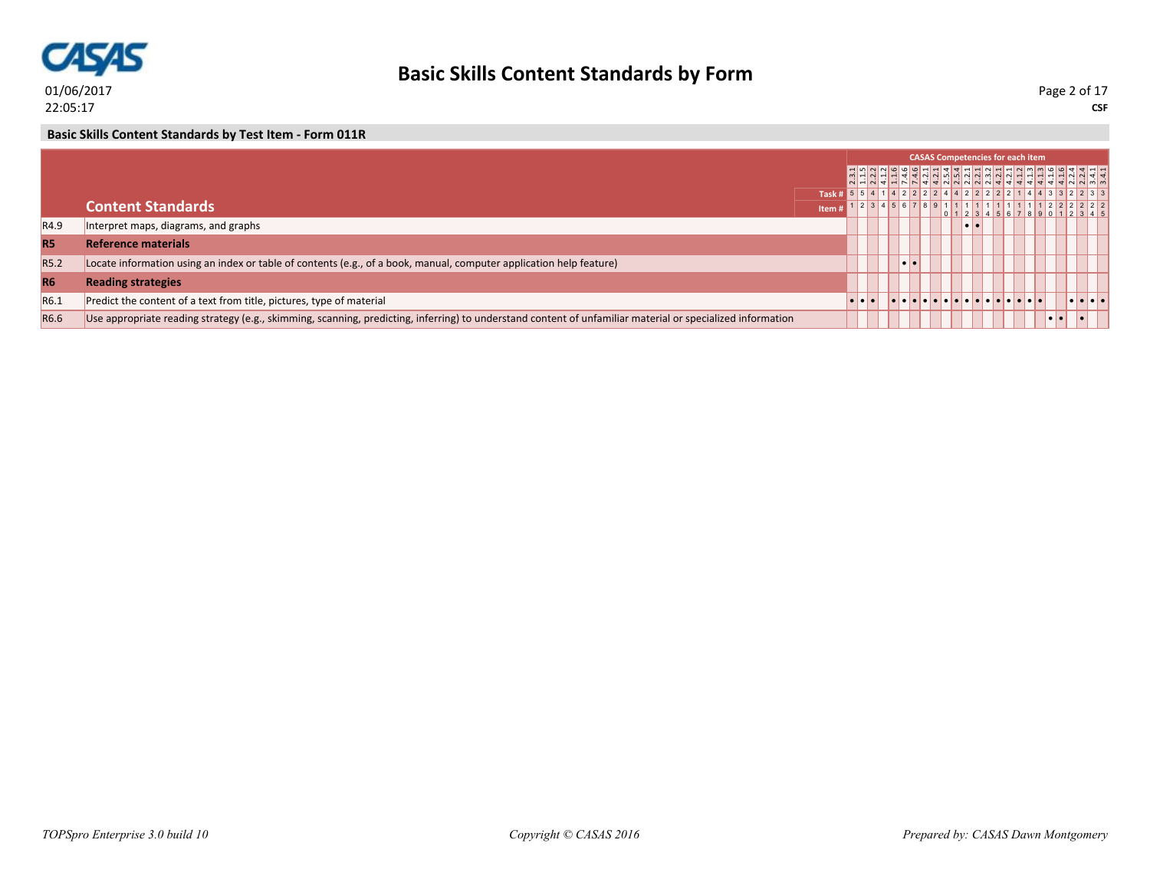

**CSF** Page 2 of 17

**Basic Skills Content Standards by Test Item - Form 011R**

|                  |                                                                                                                                                            |  |  |  |  | <b>CASAS Competencies for each item</b>    |  |  |                                                          |  |
|------------------|------------------------------------------------------------------------------------------------------------------------------------------------------------|--|--|--|--|--------------------------------------------|--|--|----------------------------------------------------------|--|
|                  |                                                                                                                                                            |  |  |  |  |                                            |  |  |                                                          |  |
|                  |                                                                                                                                                            |  |  |  |  |                                            |  |  | Task # 5 5 4 1 4 2 2 2 2 4 4 2 2 2 2 2 1 4 4 3 3 2 2 3 3 |  |
|                  | <b>Content Standards</b><br>Item i                                                                                                                         |  |  |  |  |                                            |  |  | 1 2 3 4 5 6 7 8 9 1 1 1 1 1 1 1 1 1 1 1 2 2 2 2 2 2 2    |  |
| R <sub>4.9</sub> | Interpret maps, diagrams, and graphs                                                                                                                       |  |  |  |  |                                            |  |  |                                                          |  |
| <b>R5</b>        | <b>Reference materials</b>                                                                                                                                 |  |  |  |  |                                            |  |  |                                                          |  |
| R5.2             | Locate information using an index or table of contents (e.g., of a book, manual, computer application help feature)                                        |  |  |  |  |                                            |  |  |                                                          |  |
| <b>R6</b>        | <b>Reading strategies</b>                                                                                                                                  |  |  |  |  |                                            |  |  |                                                          |  |
| R6.1             | Predict the content of a text from title, pictures, type of material                                                                                       |  |  |  |  | <u> Islaiciai alaisiai alaisiai alaisi</u> |  |  | <b>de de lei</b>                                         |  |
| R6.6             | Use appropriate reading strategy (e.g., skimming, scanning, predicting, inferring) to understand content of unfamiliar material or specialized information |  |  |  |  |                                            |  |  |                                                          |  |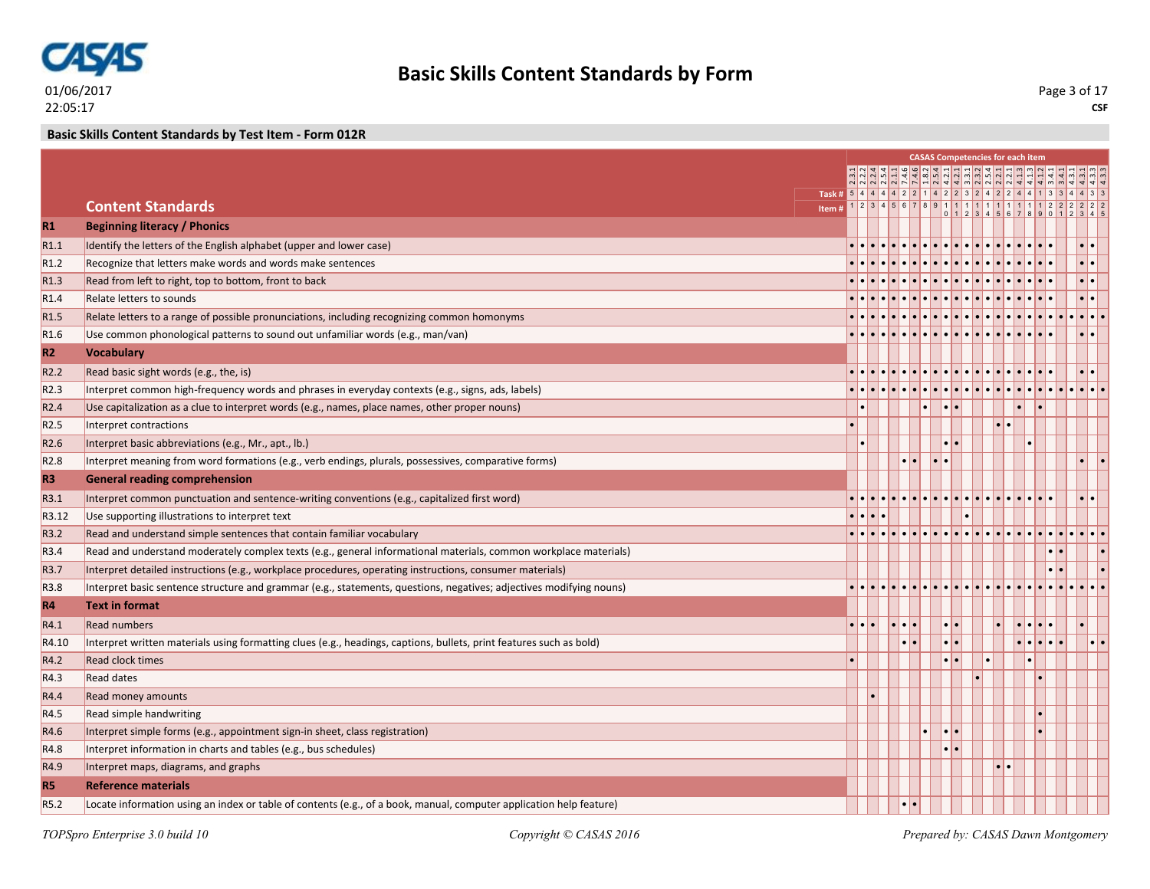

**CSF** Page 3 of 17

**Basic Skills Content Standards by Test Item - Form 012R**

|                  |                                                                                                                     |   |                                   |  |                         | <b>CASAS Competencies for each item</b> |                                   |                                    |      |
|------------------|---------------------------------------------------------------------------------------------------------------------|---|-----------------------------------|--|-------------------------|-----------------------------------------|-----------------------------------|------------------------------------|------|
|                  |                                                                                                                     |   |                                   |  |                         | 국국 이 이 아이 아이 이 이 이 아이 그 다               |                                   |                                    |      |
|                  | Task # 5 4 4 4 4 2 2 1 4 2 2 3 2 4 2 2 4 4 1 3 3 4 4 3 3                                                            |   |                                   |  |                         |                                         |                                   |                                    |      |
|                  | <b>Content Standards</b><br>Item#                                                                                   |   |                                   |  |                         |                                         |                                   |                                    |      |
| R1               | <b>Beginning literacy / Phonics</b>                                                                                 |   |                                   |  |                         |                                         |                                   |                                    |      |
| R1.1             | Identify the letters of the English alphabet (upper and lower case)                                                 |   |                                   |  |                         |                                         |                                   |                                    |      |
| R <sub>1.2</sub> | Recognize that letters make words and words make sentences                                                          |   |                                   |  |                         |                                         |                                   |                                    |      |
| R1.3             | Read from left to right, top to bottom, front to back                                                               |   |                                   |  |                         |                                         |                                   |                                    |      |
| R <sub>1.4</sub> | Relate letters to sounds                                                                                            |   |                                   |  |                         |                                         |                                   |                                    |      |
| R <sub>1.5</sub> | Relate letters to a range of possible pronunciations, including recognizing common homonyms                         |   |                                   |  |                         |                                         |                                   |                                    |      |
| R <sub>1.6</sub> | Use common phonological patterns to sound out unfamiliar words (e.g., man/van)                                      |   |                                   |  |                         |                                         |                                   |                                    |      |
| R2               | <b>Vocabulary</b>                                                                                                   |   |                                   |  |                         |                                         |                                   |                                    |      |
| R <sub>2.2</sub> | Read basic sight words (e.g., the, is)                                                                              |   |                                   |  |                         |                                         |                                   |                                    |      |
| R2.3             | Interpret common high-frequency words and phrases in everyday contexts (e.g., signs, ads, labels)                   |   |                                   |  |                         |                                         |                                   |                                    |      |
| R <sub>2.4</sub> | Use capitalization as a clue to interpret words (e.g., names, place names, other proper nouns)                      |   |                                   |  |                         |                                         |                                   |                                    |      |
| R <sub>2.5</sub> | Interpret contractions                                                                                              |   |                                   |  |                         |                                         |                                   |                                    |      |
| R2.6             | Interpret basic abbreviations (e.g., Mr., apt., lb.)                                                                |   |                                   |  |                         |                                         |                                   |                                    |      |
| R <sub>2.8</sub> | Interpret meaning from word formations (e.g., verb endings, plurals, possessives, comparative forms)                |   |                                   |  |                         |                                         |                                   |                                    |      |
| R <sub>3</sub>   | <b>General reading comprehension</b>                                                                                |   |                                   |  |                         |                                         |                                   |                                    |      |
| R3.1             | Interpret common punctuation and sentence-writing conventions (e.g., capitalized first word)                        |   |                                   |  |                         |                                         |                                   |                                    |      |
| R3.12            | Use supporting illustrations to interpret text                                                                      |   |                                   |  |                         |                                         |                                   |                                    |      |
| R3.2             | Read and understand simple sentences that contain familiar vocabulary                                               |   |                                   |  |                         |                                         |                                   |                                    |      |
| R3.4             | Read and understand moderately complex texts (e.g., general informational materials, common workplace materials)    |   |                                   |  |                         |                                         |                                   |                                    |      |
| R3.7             | Interpret detailed instructions (e.g., workplace procedures, operating instructions, consumer materials)            |   |                                   |  |                         |                                         |                                   |                                    |      |
| R <sub>3.8</sub> | Interpret basic sentence structure and grammar (e.g., statements, questions, negatives; adjectives modifying nouns) |   |                                   |  |                         |                                         |                                   |                                    |      |
| <b>R4</b>        | <b>Text in format</b>                                                                                               |   |                                   |  |                         |                                         |                                   |                                    |      |
| R4.1             | <b>Read numbers</b>                                                                                                 | . | $  \bullet   \bullet   \bullet  $ |  |                         |                                         | $  \bullet   \bullet   \bullet  $ |                                    |      |
| R4.10            | Interpret written materials using formatting clues (e.g., headings, captions, bullets, print features such as bold) |   | $  \bullet   \bullet  $           |  | $  \bullet   \bullet  $ |                                         |                                   | $ \bullet \bullet \bullet \bullet$ | I۰I۰ |
| R4.2             | <b>Read clock times</b>                                                                                             |   |                                   |  |                         |                                         |                                   |                                    |      |
| R4.3             | <b>Read dates</b>                                                                                                   |   |                                   |  |                         |                                         |                                   |                                    |      |
| R4.4             | Read money amounts                                                                                                  |   |                                   |  |                         |                                         |                                   |                                    |      |
| R4.5             | Read simple handwriting                                                                                             |   |                                   |  |                         |                                         |                                   |                                    |      |
| R4.6             | Interpret simple forms (e.g., appointment sign-in sheet, class registration)                                        |   |                                   |  |                         |                                         |                                   |                                    |      |
| R4.8             | Interpret information in charts and tables (e.g., bus schedules)                                                    |   |                                   |  |                         |                                         |                                   |                                    |      |
| R4.9             | Interpret maps, diagrams, and graphs                                                                                |   |                                   |  |                         |                                         |                                   |                                    |      |
| <b>R5</b>        | <b>Reference materials</b>                                                                                          |   |                                   |  |                         |                                         |                                   |                                    |      |
| R5.2             | Locate information using an index or table of contents (e.g., of a book, manual, computer application help feature) |   |                                   |  |                         |                                         |                                   |                                    |      |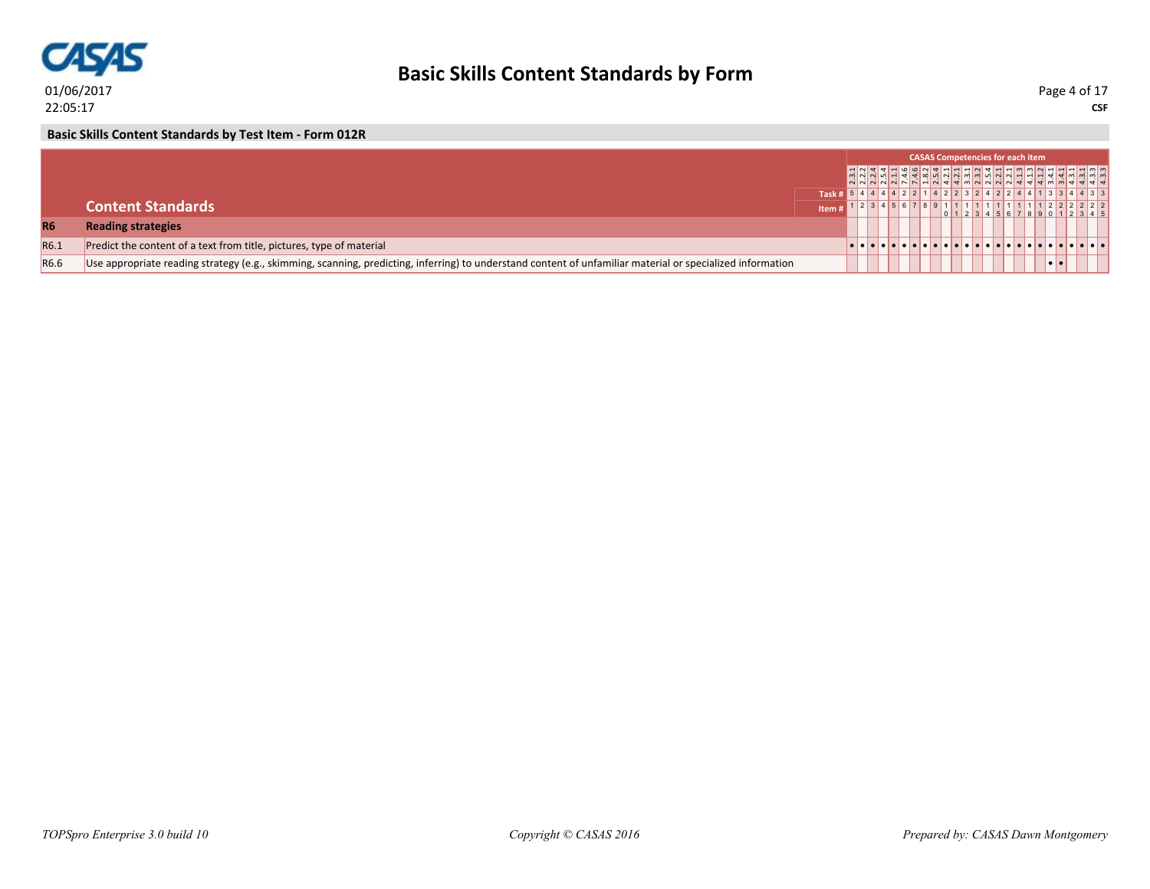

**CSF** Page 4 of 17

**Basic Skills Content Standards by Test Item - Form 012R**

|                  |                                                                                                                                                            |                                                            |  |  |  | <b>CASAS Competencies for each item</b> |  |  |  |
|------------------|------------------------------------------------------------------------------------------------------------------------------------------------------------|------------------------------------------------------------|--|--|--|-----------------------------------------|--|--|--|
|                  |                                                                                                                                                            |                                                            |  |  |  | <u>HNTHHOONTHHHNTHMMMNHHHH</u>          |  |  |  |
|                  |                                                                                                                                                            | $1$ Task # 5 4 4 4 4 2 2 1 4 2 2 3 2 4 2 2 4 1 3 3 4 4 3 3 |  |  |  |                                         |  |  |  |
|                  | <b>Content Standards</b>                                                                                                                                   |                                                            |  |  |  |                                         |  |  |  |
| <b>R6</b>        | <b>Reading strategies</b>                                                                                                                                  |                                                            |  |  |  |                                         |  |  |  |
| R <sub>6.1</sub> | Predict the content of a text from title, pictures, type of material                                                                                       |                                                            |  |  |  |                                         |  |  |  |
| R6.6             | Use appropriate reading strategy (e.g., skimming, scanning, predicting, inferring) to understand content of unfamiliar material or specialized information |                                                            |  |  |  |                                         |  |  |  |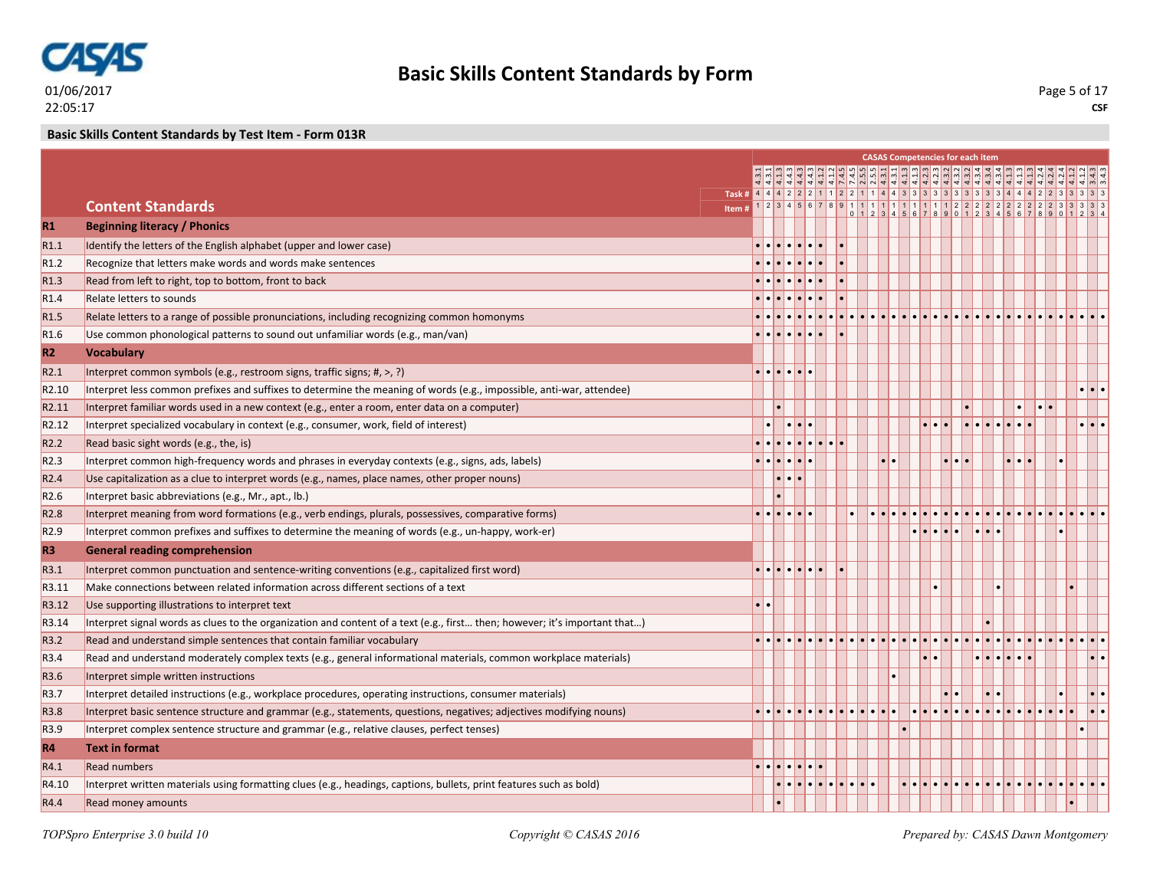

**Basic Skills Content Standards by Test Item - Form 013R**

|                   |                                                                                                                            |       |                                 |                                   |          |  |  |               | <b>CASAS Competencies for each item</b>                                                                   |                                |                                                                           |                                 |                                                     |                         |                     |
|-------------------|----------------------------------------------------------------------------------------------------------------------------|-------|---------------------------------|-----------------------------------|----------|--|--|---------------|-----------------------------------------------------------------------------------------------------------|--------------------------------|---------------------------------------------------------------------------|---------------------------------|-----------------------------------------------------|-------------------------|---------------------|
|                   |                                                                                                                            |       |                                 |                                   |          |  |  |               | $\omega  w  \omega  w  \omega  w  \omega  w  +  w  \omega  w  \omega  w  \omega  w  \omega  q  \cdot  w $ |                                |                                                                           |                                 |                                                     |                         |                     |
|                   |                                                                                                                            |       |                                 |                                   |          |  |  |               |                                                                                                           |                                |                                                                           |                                 |                                                     |                         |                     |
|                   | <b>Content Standards</b>                                                                                                   | Item# |                                 |                                   |          |  |  |               |                                                                                                           |                                |                                                                           |                                 |                                                     |                         |                     |
| $R1$              | <b>Beginning literacy / Phonics</b>                                                                                        |       |                                 |                                   |          |  |  |               |                                                                                                           |                                |                                                                           |                                 |                                                     |                         |                     |
| R1.1              | Identify the letters of the English alphabet (upper and lower case)                                                        |       |                                 |                                   |          |  |  |               |                                                                                                           |                                |                                                                           |                                 |                                                     |                         |                     |
| R1.2              | Recognize that letters make words and words make sentences                                                                 |       |                                 |                                   |          |  |  |               |                                                                                                           |                                |                                                                           |                                 |                                                     |                         |                     |
| R1.3              | Read from left to right, top to bottom, front to back                                                                      |       |                                 |                                   |          |  |  |               |                                                                                                           |                                |                                                                           |                                 |                                                     |                         |                     |
| R <sub>1.4</sub>  | Relate letters to sounds                                                                                                   |       |                                 |                                   |          |  |  |               |                                                                                                           |                                |                                                                           |                                 |                                                     |                         |                     |
| R <sub>1.5</sub>  | Relate letters to a range of possible pronunciations, including recognizing common homonyms                                |       |                                 |                                   |          |  |  |               |                                                                                                           |                                |                                                                           |                                 |                                                     |                         |                     |
| R <sub>1.6</sub>  | Use common phonological patterns to sound out unfamiliar words (e.g., man/van)                                             |       |                                 |                                   |          |  |  |               |                                                                                                           |                                |                                                                           |                                 |                                                     |                         |                     |
| R2                | <b>Vocabulary</b>                                                                                                          |       |                                 |                                   |          |  |  |               |                                                                                                           |                                |                                                                           |                                 |                                                     |                         |                     |
| R2.1              | Interpret common symbols (e.g., restroom signs, traffic signs; #, >, ?)                                                    |       | $\cdot \cdot \cdot \cdot \cdot$ |                                   |          |  |  |               |                                                                                                           |                                |                                                                           |                                 |                                                     |                         |                     |
| R <sub>2.10</sub> | Interpret less common prefixes and suffixes to determine the meaning of words (e.g., impossible, anti-war, attendee)       |       |                                 |                                   |          |  |  |               |                                                                                                           |                                |                                                                           |                                 |                                                     |                         | $\cdot \cdot \cdot$ |
| R <sub>2.11</sub> | Interpret familiar words used in a new context (e.g., enter a room, enter data on a computer)                              |       |                                 |                                   |          |  |  |               |                                                                                                           |                                |                                                                           |                                 |                                                     | $  \bullet   \bullet  $ |                     |
| R <sub>2.12</sub> | Interpret specialized vocabulary in context (e.g., consumer, work, field of interest)                                      |       |                                 |                                   | lo lo lo |  |  |               |                                                                                                           |                                | $  \bullet   \bullet   \bullet   \bullet   \bullet   \bullet   \bullet  $ |                                 |                                                     |                         | $\cdot \cdot \cdot$ |
| R <sub>2.2</sub>  | Read basic sight words (e.g., the, is)                                                                                     |       | والملمامام                      |                                   |          |  |  |               |                                                                                                           |                                |                                                                           |                                 |                                                     |                         |                     |
| R2.3              | Interpret common high-frequency words and phrases in everyday contexts (e.g., signs, ads, labels)                          |       | . <b>.</b> .                    |                                   |          |  |  | $\cdot \cdot$ |                                                                                                           | $\bullet\bullet\bullet\bullet$ |                                                                           |                                 | $  \cdot   \cdot   \cdot  $                         |                         |                     |
| R <sub>2.4</sub>  | Use capitalization as a clue to interpret words (e.g., names, place names, other proper nouns)                             |       |                                 | $  \bullet   \bullet   \bullet  $ |          |  |  |               |                                                                                                           |                                |                                                                           |                                 |                                                     |                         |                     |
| R <sub>2.6</sub>  | Interpret basic abbreviations (e.g., Mr., apt., lb.)                                                                       |       |                                 |                                   |          |  |  |               |                                                                                                           |                                |                                                                           |                                 |                                                     |                         |                     |
| R <sub>2.8</sub>  | Interpret meaning from word formations (e.g., verb endings, plurals, possessives, comparative forms)                       |       |                                 |                                   |          |  |  |               |                                                                                                           |                                |                                                                           |                                 |                                                     |                         |                     |
| R <sub>2.9</sub>  | Interpret common prefixes and suffixes to determine the meaning of words (e.g., un-happy, work-er)                         |       |                                 |                                   |          |  |  |               | $\bullet\bullet\bullet\bullet\bullet$                                                                     |                                |                                                                           | $  \bullet   \bullet   \bullet$ |                                                     |                         |                     |
| R <sub>3</sub>    | <b>General reading comprehension</b>                                                                                       |       |                                 |                                   |          |  |  |               |                                                                                                           |                                |                                                                           |                                 |                                                     |                         |                     |
| R3.1              | Interpret common punctuation and sentence-writing conventions (e.g., capitalized first word)                               |       | <u>.</u>                        |                                   |          |  |  |               |                                                                                                           |                                |                                                                           |                                 |                                                     |                         |                     |
| R3.11             | Make connections between related information across different sections of a text                                           |       |                                 |                                   |          |  |  |               |                                                                                                           |                                |                                                                           |                                 |                                                     |                         |                     |
| R3.12             | Use supporting illustrations to interpret text                                                                             |       | $\cdot \cdot$                   |                                   |          |  |  |               |                                                                                                           |                                |                                                                           |                                 |                                                     |                         |                     |
| R3.14             | Interpret signal words as clues to the organization and content of a text (e.g., first then; however; it's important that) |       |                                 |                                   |          |  |  |               |                                                                                                           |                                |                                                                           |                                 |                                                     |                         |                     |
| R3.2              | Read and understand simple sentences that contain familiar vocabulary                                                      |       |                                 |                                   |          |  |  |               |                                                                                                           |                                |                                                                           |                                 |                                                     |                         |                     |
| R <sub>3.4</sub>  | Read and understand moderately complex texts (e.g., general informational materials, common workplace materials)           |       |                                 |                                   |          |  |  |               |                                                                                                           |                                |                                                                           |                                 | $\bullet\bullet\bullet\bullet\bullet\bullet\bullet$ |                         |                     |
| R3.6              | Interpret simple written instructions                                                                                      |       |                                 |                                   |          |  |  |               |                                                                                                           |                                |                                                                           |                                 |                                                     |                         |                     |
| R3.7              | Interpret detailed instructions (e.g., workplace procedures, operating instructions, consumer materials)                   |       |                                 |                                   |          |  |  |               |                                                                                                           |                                |                                                                           |                                 |                                                     |                         |                     |
| R <sub>3.8</sub>  | Interpret basic sentence structure and grammar (e.g., statements, questions, negatives; adjectives modifying nouns)        |       |                                 |                                   |          |  |  |               | $\bullet$                                                                                                 |                                |                                                                           |                                 |                                                     |                         |                     |
| R3.9              | Interpret complex sentence structure and grammar (e.g., relative clauses, perfect tenses)                                  |       |                                 |                                   |          |  |  |               |                                                                                                           |                                |                                                                           |                                 |                                                     |                         |                     |
| <b>R4</b>         | <b>Text in format</b>                                                                                                      |       |                                 |                                   |          |  |  |               |                                                                                                           |                                |                                                                           |                                 |                                                     |                         |                     |
| R4.1              | <b>Read numbers</b>                                                                                                        |       | . <b>.</b> .                    |                                   |          |  |  |               |                                                                                                           |                                |                                                                           |                                 |                                                     |                         |                     |
| R4.10             | Interpret written materials using formatting clues (e.g., headings, captions, bullets, print features such as bold)        |       |                                 |                                   |          |  |  |               | <u>la la la la la la la la la la la la </u>                                                               |                                |                                                                           |                                 |                                                     |                         |                     |
| R4.4              | <b>Read money amounts</b>                                                                                                  |       |                                 |                                   |          |  |  |               |                                                                                                           |                                |                                                                           |                                 |                                                     |                         |                     |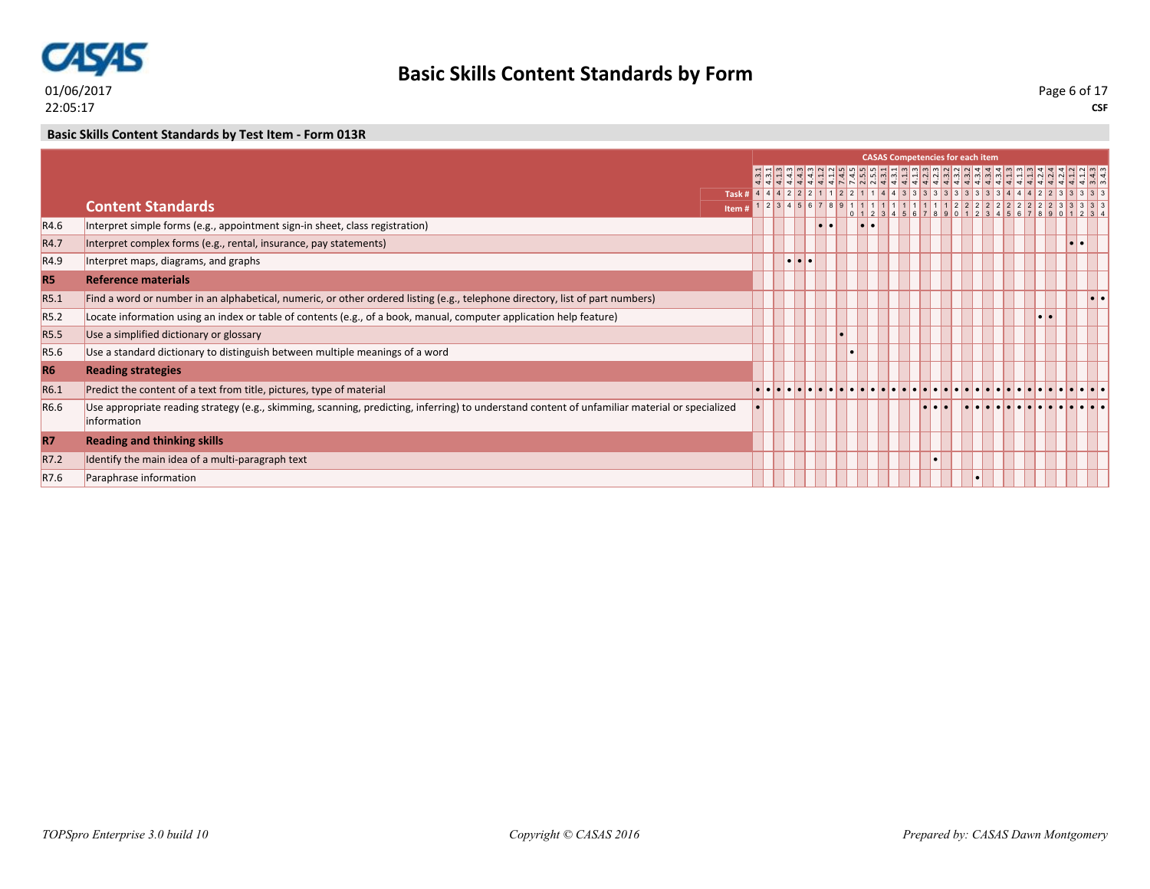

### **Basic Skills Content Standards by Test Item - Form 013R**

|                  |                                                                                                                                                                      |                                                              |  |                         |                       |  |  | <b>CASAS Competencies for each item</b> |  |  |        |  |
|------------------|----------------------------------------------------------------------------------------------------------------------------------------------------------------------|--------------------------------------------------------------|--|-------------------------|-----------------------|--|--|-----------------------------------------|--|--|--------|--|
|                  |                                                                                                                                                                      |                                                              |  |                         |                       |  |  |                                         |  |  |        |  |
|                  |                                                                                                                                                                      | $1$ Task # 4 4 4 2 2 2 1 1 2 2 1 1 4 4 3 3 3 3 3 3 3 3 3 3 4 |  |                         |                       |  |  |                                         |  |  |        |  |
|                  | <b>Content Standards</b>                                                                                                                                             |                                                              |  |                         |                       |  |  |                                         |  |  |        |  |
|                  |                                                                                                                                                                      | Item#                                                        |  |                         |                       |  |  |                                         |  |  |        |  |
| R4.6             | Interpret simple forms (e.g., appointment sign-in sheet, class registration)                                                                                         |                                                              |  |                         | $  \bullet   \bullet$ |  |  |                                         |  |  |        |  |
| R4.7             | Interpret complex forms (e.g., rental, insurance, pay statements)                                                                                                    |                                                              |  |                         |                       |  |  |                                         |  |  | lo I e |  |
| R4.9             | Interpret maps, diagrams, and graphs                                                                                                                                 |                                                              |  | $\bullet\bullet\bullet$ |                       |  |  |                                         |  |  |        |  |
| <b>R5</b>        | <b>Reference materials</b>                                                                                                                                           |                                                              |  |                         |                       |  |  |                                         |  |  |        |  |
| R5.1             | Find a word or number in an alphabetical, numeric, or other ordered listing (e.g., telephone directory, list of part numbers)                                        |                                                              |  |                         |                       |  |  |                                         |  |  |        |  |
| R <sub>5.2</sub> | Locate information using an index or table of contents (e.g., of a book, manual, computer application help feature)                                                  |                                                              |  |                         |                       |  |  |                                         |  |  |        |  |
| R5.5             | Use a simplified dictionary or glossary                                                                                                                              |                                                              |  |                         |                       |  |  |                                         |  |  |        |  |
| R5.6             | Use a standard dictionary to distinguish between multiple meanings of a word                                                                                         |                                                              |  |                         |                       |  |  |                                         |  |  |        |  |
| <b>R6</b>        | <b>Reading strategies</b>                                                                                                                                            |                                                              |  |                         |                       |  |  |                                         |  |  |        |  |
| R6.1             | Predict the content of a text from title, pictures, type of material                                                                                                 |                                                              |  |                         |                       |  |  |                                         |  |  |        |  |
| R <sub>6.6</sub> | Use appropriate reading strategy (e.g., skimming, scanning, predicting, inferring) to understand content of unfamiliar material or specialized<br><i>information</i> |                                                              |  |                         |                       |  |  |                                         |  |  |        |  |
| <b>R7</b>        | <b>Reading and thinking skills</b>                                                                                                                                   |                                                              |  |                         |                       |  |  |                                         |  |  |        |  |
| R7.2             | Identify the main idea of a multi-paragraph text                                                                                                                     |                                                              |  |                         |                       |  |  |                                         |  |  |        |  |
| R7.6             | Paraphrase information                                                                                                                                               |                                                              |  |                         |                       |  |  |                                         |  |  |        |  |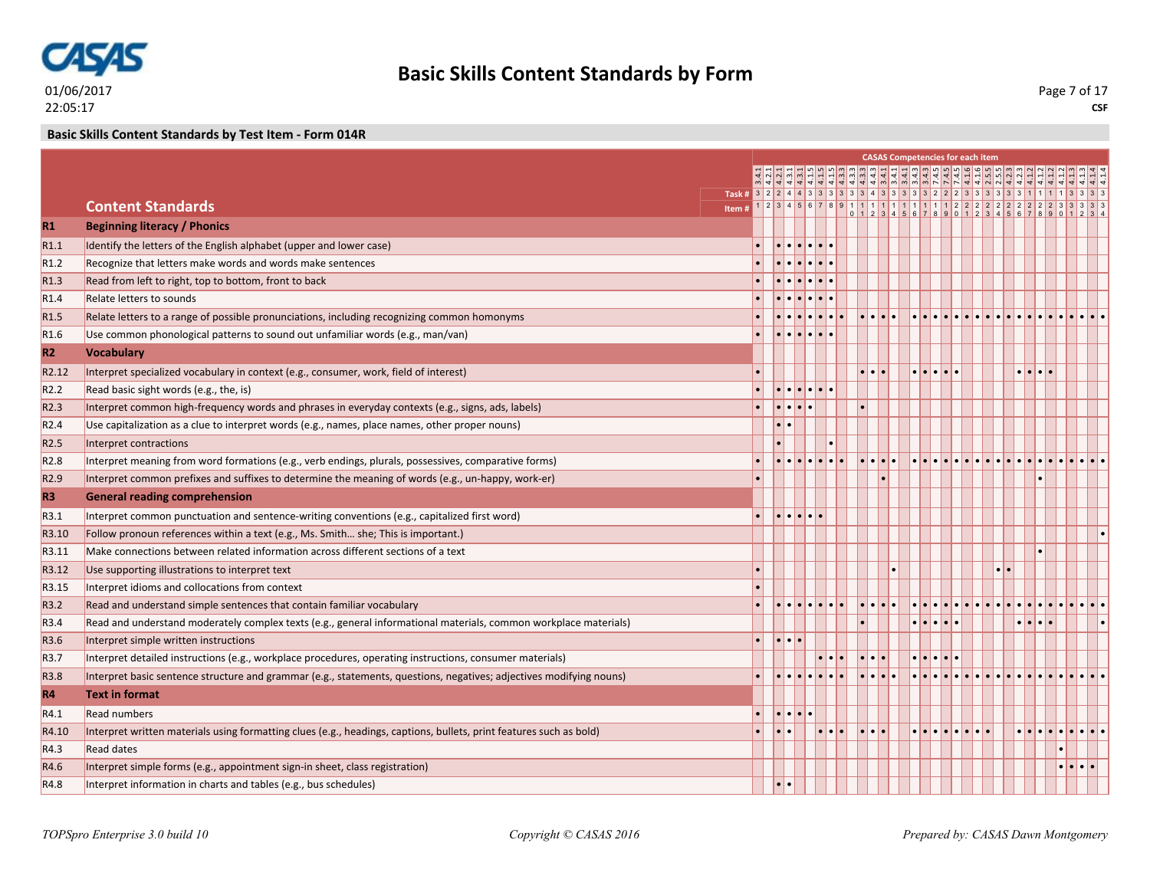

**Basic Skills Content Standards by Test Item - Form 014R**

|                   |                                                                                                                     |                |                                                                 |  |                                   |                                           |                                             | <b>CASAS Competencies for each item</b> |  |                       |                         |  |  |
|-------------------|---------------------------------------------------------------------------------------------------------------------|----------------|-----------------------------------------------------------------|--|-----------------------------------|-------------------------------------------|---------------------------------------------|-----------------------------------------|--|-----------------------|-------------------------|--|--|
|                   |                                                                                                                     |                |                                                                 |  |                                   |                                           |                                             |                                         |  |                       |                         |  |  |
|                   |                                                                                                                     | $\frac{1}{16}$ |                                                                 |  |                                   |                                           |                                             |                                         |  |                       |                         |  |  |
|                   | <b>Content Standards</b>                                                                                            | Item#          |                                                                 |  |                                   |                                           |                                             |                                         |  |                       |                         |  |  |
| R1                | <b>Beginning literacy / Phonics</b>                                                                                 |                |                                                                 |  |                                   |                                           |                                             |                                         |  |                       |                         |  |  |
| R1.1              | Identify the letters of the English alphabet (upper and lower case)                                                 |                | $ \bullet \bullet \bullet \bullet \bullet \bullet$              |  |                                   |                                           |                                             |                                         |  |                       |                         |  |  |
| R <sub>1.2</sub>  | Recognize that letters make words and words make sentences                                                          |                | $  \bullet   \bullet   \bullet   \bullet   \bullet   \bullet$   |  |                                   |                                           |                                             |                                         |  |                       |                         |  |  |
| R <sub>1.3</sub>  | Read from left to right, top to bottom, front to back                                                               |                | $  \bullet   \bullet   \bullet   \bullet   \bullet   \bullet$   |  |                                   |                                           |                                             |                                         |  |                       |                         |  |  |
| R <sub>1.4</sub>  | Relate letters to sounds                                                                                            |                | $  \bullet   \bullet   \bullet   \bullet   \bullet   \bullet$   |  |                                   |                                           |                                             |                                         |  |                       |                         |  |  |
| R <sub>1.5</sub>  | Relate letters to a range of possible pronunciations, including recognizing common homonyms                         |                |                                                                 |  |                                   |                                           | $  \bullet   \bullet   \bullet   \bullet  $ |                                         |  |                       |                         |  |  |
| R <sub>1.6</sub>  | Use common phonological patterns to sound out unfamiliar words (e.g., man/van)                                      |                | $  \bullet   \bullet   \bullet   \bullet   \bullet   \bullet  $ |  |                                   |                                           |                                             |                                         |  |                       |                         |  |  |
| R2                | <b>Vocabulary</b>                                                                                                   |                |                                                                 |  |                                   |                                           |                                             |                                         |  |                       |                         |  |  |
| R <sub>2.12</sub> | Interpret specialized vocabulary in context (e.g., consumer, work, field of interest)                               |                |                                                                 |  |                                   |                                           |                                             | $\bullet\bullet\bullet\bullet\bullet$   |  |                       | $\bullet\bullet\bullet$ |  |  |
| R <sub>2.2</sub>  | Read basic sight words (e.g., the, is)                                                                              |                | $  \bullet   \bullet   \bullet   \bullet   \bullet   \bullet  $ |  |                                   |                                           |                                             |                                         |  |                       |                         |  |  |
| R <sub>2.3</sub>  | Interpret common high-frequency words and phrases in everyday contexts (e.g., signs, ads, labels)                   |                | $  \bullet   \bullet   \bullet   \bullet  $                     |  |                                   |                                           |                                             |                                         |  |                       |                         |  |  |
| R <sub>2.4</sub>  | Use capitalization as a clue to interpret words (e.g., names, place names, other proper nouns)                      |                | $  \bullet   \bullet$                                           |  |                                   |                                           |                                             |                                         |  |                       |                         |  |  |
| R <sub>2.5</sub>  | Interpret contractions                                                                                              |                |                                                                 |  |                                   |                                           |                                             |                                         |  |                       |                         |  |  |
| R <sub>2.8</sub>  | Interpret meaning from word formations (e.g., verb endings, plurals, possessives, comparative forms)                |                |                                                                 |  |                                   | $\bullet \bullet \bullet \bullet$         |                                             |                                         |  |                       |                         |  |  |
| R <sub>2.9</sub>  | Interpret common prefixes and suffixes to determine the meaning of words (e.g., un-happy, work-er)                  | $\bullet$      |                                                                 |  |                                   |                                           |                                             |                                         |  |                       |                         |  |  |
| <b>R3</b>         | <b>General reading comprehension</b>                                                                                |                |                                                                 |  |                                   |                                           |                                             |                                         |  |                       |                         |  |  |
| R3.1              | Interpret common punctuation and sentence-writing conventions (e.g., capitalized first word)                        |                | $  \cdot   \cdot   \cdot   \cdot  $                             |  |                                   |                                           |                                             |                                         |  |                       |                         |  |  |
| R3.10             | Follow pronoun references within a text (e.g., Ms. Smith she; This is important.)                                   |                |                                                                 |  |                                   |                                           |                                             |                                         |  |                       |                         |  |  |
| R3.11             | Make connections between related information across different sections of a text                                    |                |                                                                 |  |                                   |                                           |                                             |                                         |  |                       |                         |  |  |
| R3.12             | Use supporting illustrations to interpret text                                                                      |                |                                                                 |  |                                   |                                           |                                             |                                         |  | $  \bullet   \bullet$ |                         |  |  |
| R3.15             | Interpret idioms and collocations from context                                                                      |                |                                                                 |  |                                   |                                           |                                             |                                         |  |                       |                         |  |  |
| R3.2              | Read and understand simple sentences that contain familiar vocabulary                                               |                |                                                                 |  |                                   |                                           |                                             |                                         |  |                       |                         |  |  |
| R <sub>3.4</sub>  | Read and understand moderately complex texts (e.g., general informational materials, common workplace materials)    |                |                                                                 |  |                                   |                                           |                                             | $\bullet\bullet\bullet\bullet\bullet$   |  |                       |                         |  |  |
| R3.6              | Interpret simple written instructions                                                                               |                | $  \cdot   \cdot   \cdot  $                                     |  |                                   |                                           |                                             |                                         |  |                       |                         |  |  |
| R <sub>3.7</sub>  | Interpret detailed instructions (e.g., workplace procedures, operating instructions, consumer materials)            |                |                                                                 |  |                                   | $\cdot \cdot \cdot$                       |                                             | $\cdot \cdot \cdot \cdot$               |  |                       |                         |  |  |
| R3.8              | Interpret basic sentence structure and grammar (e.g., statements, questions, negatives; adjectives modifying nouns) |                |                                                                 |  |                                   | $\bullet \bullet \bullet \bullet \bullet$ |                                             |                                         |  |                       |                         |  |  |
| R4                | <b>Text in format</b>                                                                                               |                |                                                                 |  |                                   |                                           |                                             |                                         |  |                       |                         |  |  |
| R4.1              | <b>Read numbers</b>                                                                                                 |                | $ \bullet \bullet \bullet \bullet$                              |  |                                   |                                           |                                             |                                         |  |                       |                         |  |  |
| R4.10             | Interpret written materials using formatting clues (e.g., headings, captions, bullets, print features such as bold) |                | <b>.</b> .                                                      |  | $  \bullet   \bullet   \bullet  $ | <u>   .   .   .</u>                       |                                             | <u>.</u>                                |  |                       |                         |  |  |
| R4.3              | <b>Read dates</b>                                                                                                   |                |                                                                 |  |                                   |                                           |                                             |                                         |  |                       |                         |  |  |
| R4.6              | Interpret simple forms (e.g., appointment sign-in sheet, class registration)                                        |                |                                                                 |  |                                   |                                           |                                             |                                         |  |                       |                         |  |  |
| R4.8              | Interpret information in charts and tables (e.g., bus schedules)                                                    |                | $  \cdot   \cdot$                                               |  |                                   |                                           |                                             |                                         |  |                       |                         |  |  |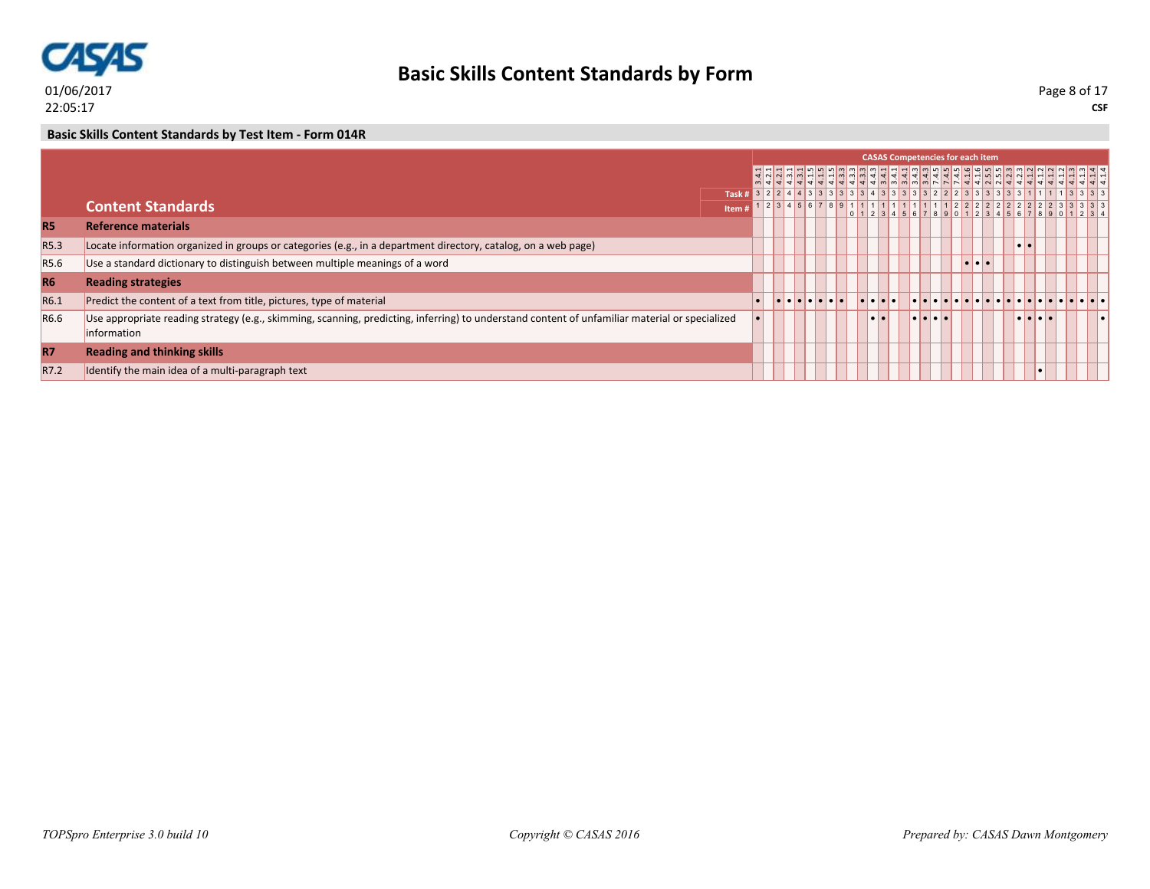

**CSF** Page 8 of 17

### **Basic Skills Content Standards by Test Item - Form 014R**

|                  |                                                                                                                                                                |        |                                                                   |  |  |  | <b>CASAS Competencies for each item</b> |  |  |                                |  |  |
|------------------|----------------------------------------------------------------------------------------------------------------------------------------------------------------|--------|-------------------------------------------------------------------|--|--|--|-----------------------------------------|--|--|--------------------------------|--|--|
|                  |                                                                                                                                                                |        |                                                                   |  |  |  | 444444444444444444444444                |  |  |                                |  |  |
|                  |                                                                                                                                                                |        |                                                                   |  |  |  |                                         |  |  |                                |  |  |
|                  | <b>Content Standards</b>                                                                                                                                       | Item # | 1   2   3   4   5   6   7   8   9   1   1   1   1   1   1   1   1 |  |  |  |                                         |  |  |                                |  |  |
| <b>R5</b>        | <b>Reference materials</b>                                                                                                                                     |        |                                                                   |  |  |  |                                         |  |  |                                |  |  |
| R <sub>5.3</sub> | Locate information organized in groups or categories (e.g., in a department directory, catalog, on a web page)                                                 |        |                                                                   |  |  |  |                                         |  |  |                                |  |  |
| R <sub>5.6</sub> | Use a standard dictionary to distinguish between multiple meanings of a word                                                                                   |        |                                                                   |  |  |  |                                         |  |  |                                |  |  |
| <b>R6</b>        | <b>Reading strategies</b>                                                                                                                                      |        |                                                                   |  |  |  |                                         |  |  |                                |  |  |
| R6.1             | Predict the content of a text from title, pictures, type of material                                                                                           |        | .                                                                 |  |  |  |                                         |  |  |                                |  |  |
| R <sub>6.6</sub> | Use appropriate reading strategy (e.g., skimming, scanning, predicting, inferring) to understand content of unfamiliar material or specialized<br>linformation |        |                                                                   |  |  |  | .                                       |  |  | $\bullet\bullet\bullet\bullet$ |  |  |
| <b>R7</b>        | <b>Reading and thinking skills</b>                                                                                                                             |        |                                                                   |  |  |  |                                         |  |  |                                |  |  |
| R7.2             | Identify the main idea of a multi-paragraph text                                                                                                               |        |                                                                   |  |  |  |                                         |  |  |                                |  |  |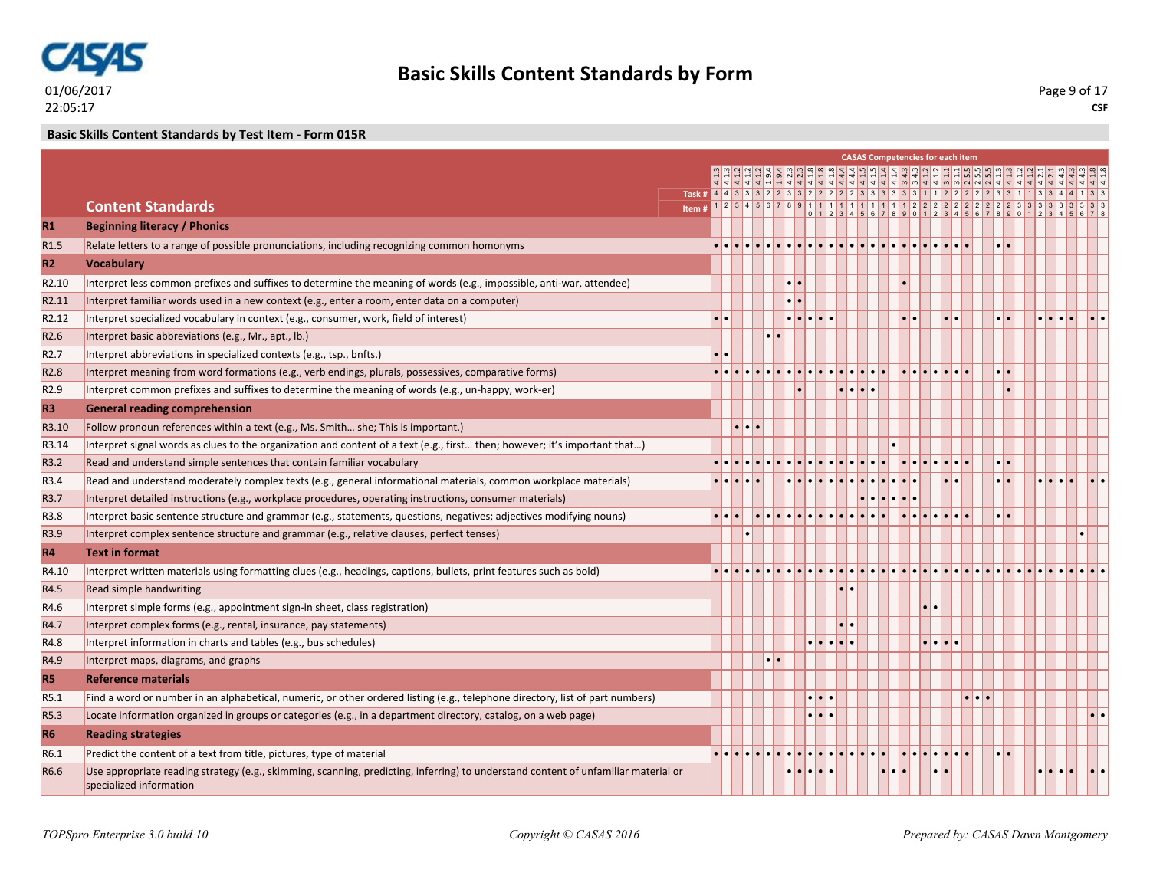

**Basic Skills Content Standards by Test Item - Form 015R**

|                   |                                                                                                                                                               |  |                     |                  |                         |                                       |                                                                                       |  |                                   | <b>CASAS Competencies for each item</b> |                                                                                                                                    |                 |                                             |  |
|-------------------|---------------------------------------------------------------------------------------------------------------------------------------------------------------|--|---------------------|------------------|-------------------------|---------------------------------------|---------------------------------------------------------------------------------------|--|-----------------------------------|-----------------------------------------|------------------------------------------------------------------------------------------------------------------------------------|-----------------|---------------------------------------------|--|
|                   |                                                                                                                                                               |  |                     |                  |                         |                                       |                                                                                       |  |                                   |                                         | أمارة إشاشا أمارة المناط أماما أماله إله أما أما ها من أما من أما أما أما أما أما أما<br> 의의의원 이상 이상 이상 이상 이상 이상 이상 이상 이상 이상 이상 이상 |                 |                                             |  |
|                   |                                                                                                                                                               |  |                     |                  |                         |                                       |                                                                                       |  |                                   |                                         |                                                                                                                                    |                 |                                             |  |
|                   | <b>Content Standards</b>                                                                                                                                      |  |                     |                  |                         |                                       |                                                                                       |  |                                   |                                         |                                                                                                                                    |                 |                                             |  |
| R1                | <b>Beginning literacy / Phonics</b>                                                                                                                           |  |                     |                  |                         |                                       |                                                                                       |  |                                   |                                         |                                                                                                                                    |                 |                                             |  |
| R <sub>1.5</sub>  | Relate letters to a range of possible pronunciations, including recognizing common homonyms                                                                   |  |                     |                  |                         |                                       |                                                                                       |  |                                   |                                         |                                                                                                                                    |                 |                                             |  |
| R2                | <b>Vocabulary</b>                                                                                                                                             |  |                     |                  |                         |                                       |                                                                                       |  |                                   |                                         |                                                                                                                                    |                 |                                             |  |
| R <sub>2.10</sub> | Interpret less common prefixes and suffixes to determine the meaning of words (e.g., impossible, anti-war, attendee)                                          |  |                     |                  |                         |                                       |                                                                                       |  |                                   |                                         |                                                                                                                                    |                 |                                             |  |
| R <sub>2.11</sub> | Interpret familiar words used in a new context (e.g., enter a room, enter data on a computer)                                                                 |  |                     |                  | $  \bullet   \bullet  $ |                                       |                                                                                       |  |                                   |                                         |                                                                                                                                    |                 |                                             |  |
| R <sub>2.12</sub> | Interpret specialized vocabulary in context (e.g., consumer, work, field of interest)                                                                         |  |                     |                  |                         | $\bullet\bullet\bullet\bullet\bullet$ |                                                                                       |  |                                   |                                         |                                                                                                                                    |                 | $  \bullet   \bullet   \bullet   \bullet  $ |  |
| R <sub>2.6</sub>  | Interpret basic abbreviations (e.g., Mr., apt., lb.)                                                                                                          |  |                     | $\bullet\bullet$ |                         |                                       |                                                                                       |  |                                   |                                         |                                                                                                                                    |                 |                                             |  |
| R <sub>2.7</sub>  | Interpret abbreviations in specialized contexts (e.g., tsp., bnfts.)                                                                                          |  |                     |                  |                         |                                       |                                                                                       |  |                                   |                                         |                                                                                                                                    |                 |                                             |  |
| R <sub>2.8</sub>  | Interpret meaning from word formations (e.g., verb endings, plurals, possessives, comparative forms)                                                          |  |                     |                  |                         |                                       |                                                                                       |  |                                   |                                         |                                                                                                                                    |                 |                                             |  |
| R <sub>2.9</sub>  | Interpret common prefixes and suffixes to determine the meaning of words (e.g., un-happy, work-er)                                                            |  |                     |                  |                         |                                       | $\begin{array}{c c c c c c} \hline \bullet & \bullet & \bullet & \bullet \end{array}$ |  |                                   |                                         |                                                                                                                                    |                 |                                             |  |
| R <sub>3</sub>    | <b>General reading comprehension</b>                                                                                                                          |  |                     |                  |                         |                                       |                                                                                       |  |                                   |                                         |                                                                                                                                    |                 |                                             |  |
| R3.10             | Follow pronoun references within a text (e.g., Ms. Smith she; This is important.)                                                                             |  | $\cdot \cdot \cdot$ |                  |                         |                                       |                                                                                       |  |                                   |                                         |                                                                                                                                    |                 |                                             |  |
| R3.14             | Interpret signal words as clues to the organization and content of a text (e.g., first then; however; it's important that)                                    |  |                     |                  |                         |                                       |                                                                                       |  |                                   |                                         |                                                                                                                                    |                 |                                             |  |
| R3.2              | Read and understand simple sentences that contain familiar vocabulary                                                                                         |  |                     |                  |                         |                                       |                                                                                       |  |                                   |                                         |                                                                                                                                    |                 |                                             |  |
| R3.4              | Read and understand moderately complex texts (e.g., general informational materials, common workplace materials)                                              |  |                     |                  |                         |                                       |                                                                                       |  |                                   |                                         |                                                                                                                                    | $\cdot$ $\cdot$ |                                             |  |
| R3.7              | Interpret detailed instructions (e.g., workplace procedures, operating instructions, consumer materials)                                                      |  |                     |                  |                         |                                       |                                                                                       |  |                                   |                                         |                                                                                                                                    |                 |                                             |  |
| R3.8              | Interpret basic sentence structure and grammar (e.g., statements, questions, negatives; adjectives modifying nouns)                                           |  |                     |                  |                         |                                       |                                                                                       |  |                                   |                                         |                                                                                                                                    |                 |                                             |  |
| R <sub>3.9</sub>  | Interpret complex sentence structure and grammar (e.g., relative clauses, perfect tenses)                                                                     |  |                     |                  |                         |                                       |                                                                                       |  |                                   |                                         |                                                                                                                                    |                 |                                             |  |
| <b>R4</b>         | <b>Text in format</b>                                                                                                                                         |  |                     |                  |                         |                                       |                                                                                       |  |                                   |                                         |                                                                                                                                    |                 |                                             |  |
| R4.10             | Interpret written materials using formatting clues (e.g., headings, captions, bullets, print features such as bold)                                           |  |                     |                  |                         |                                       |                                                                                       |  |                                   |                                         |                                                                                                                                    |                 |                                             |  |
| R4.5              | Read simple handwriting                                                                                                                                       |  |                     |                  |                         |                                       |                                                                                       |  |                                   |                                         |                                                                                                                                    |                 |                                             |  |
| R4.6              | Interpret simple forms (e.g., appointment sign-in sheet, class registration)                                                                                  |  |                     |                  |                         |                                       |                                                                                       |  |                                   |                                         |                                                                                                                                    |                 |                                             |  |
| R4.7              | Interpret complex forms (e.g., rental, insurance, pay statements)                                                                                             |  |                     |                  |                         |                                       | $\bullet$                                                                             |  |                                   |                                         |                                                                                                                                    |                 |                                             |  |
| R4.8              | Interpret information in charts and tables (e.g., bus schedules)                                                                                              |  |                     |                  |                         | $\cdot \cdot \cdot \cdot \cdot$       |                                                                                       |  | $  \bullet   \bullet   \bullet  $ |                                         |                                                                                                                                    |                 |                                             |  |
| R4.9              | Interpret maps, diagrams, and graphs                                                                                                                          |  |                     | $\cdot$ $\cdot$  |                         |                                       |                                                                                       |  |                                   |                                         |                                                                                                                                    |                 |                                             |  |
| <b>R5</b>         | <b>Reference materials</b>                                                                                                                                    |  |                     |                  |                         |                                       |                                                                                       |  |                                   |                                         |                                                                                                                                    |                 |                                             |  |
| R5.1              | Find a word or number in an alphabetical, numeric, or other ordered listing (e.g., telephone directory, list of part numbers)                                 |  |                     |                  |                         | $\cdot\cdot\cdot$                     |                                                                                       |  |                                   |                                         |                                                                                                                                    |                 |                                             |  |
| R <sub>5.3</sub>  | Locate information organized in groups or categories (e.g., in a department directory, catalog, on a web page)                                                |  |                     |                  |                         | $\bullet\bullet\bullet$               |                                                                                       |  |                                   |                                         |                                                                                                                                    |                 |                                             |  |
| R <sub>6</sub>    | <b>Reading strategies</b>                                                                                                                                     |  |                     |                  |                         |                                       |                                                                                       |  |                                   |                                         |                                                                                                                                    |                 |                                             |  |
| R6.1              | Predict the content of a text from title, pictures, type of material                                                                                          |  |                     |                  |                         |                                       |                                                                                       |  |                                   |                                         |                                                                                                                                    |                 |                                             |  |
| R6.6              | Use appropriate reading strategy (e.g., skimming, scanning, predicting, inferring) to understand content of unfamiliar material or<br>specialized information |  |                     |                  |                         |                                       |                                                                                       |  |                                   |                                         |                                                                                                                                    |                 |                                             |  |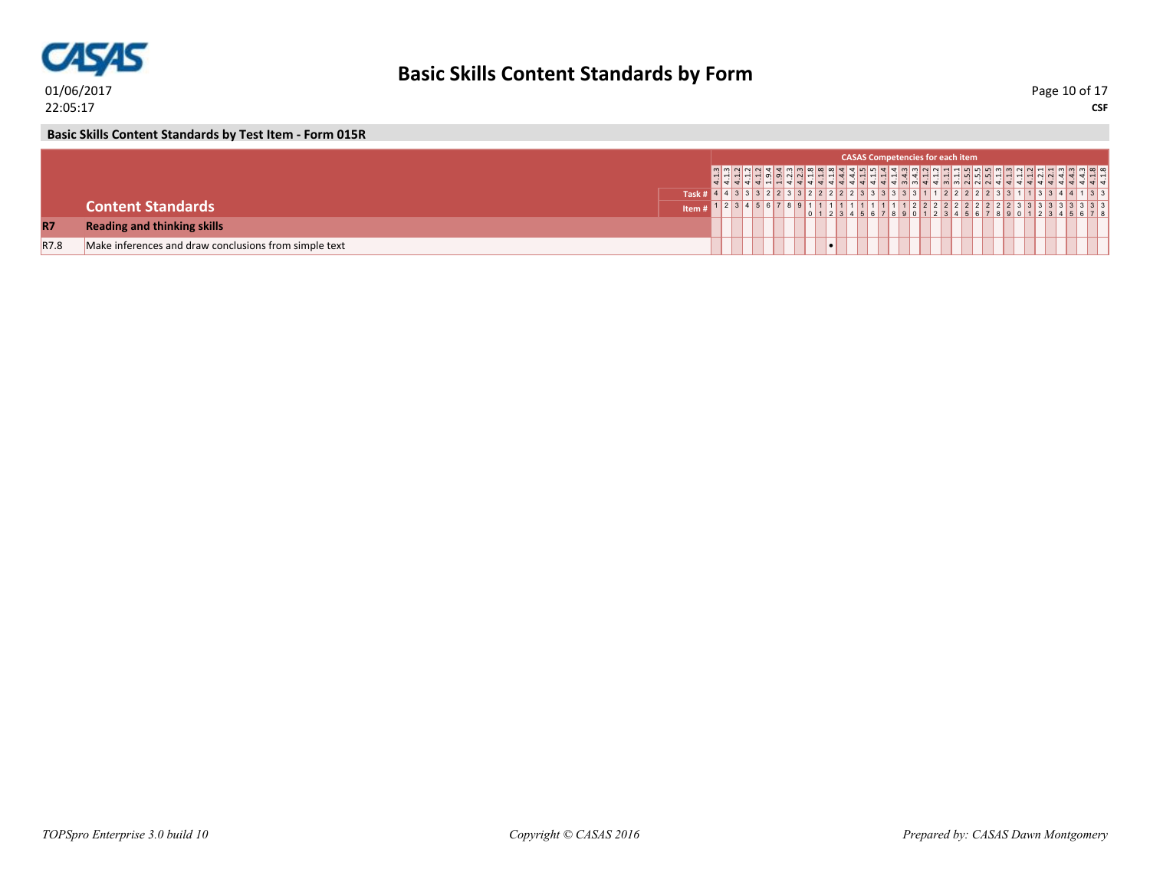

**CSF** Page 10 of 17

**Basic Skills Content Standards by Test Item - Form 015R**

|           |                                                       |       |                   |  |  |  |  | <b>CASAS Competencies for each item</b> |  |  |  |                                 |  |
|-----------|-------------------------------------------------------|-------|-------------------|--|--|--|--|-----------------------------------------|--|--|--|---------------------------------|--|
|           |                                                       |       |                   |  |  |  |  |                                         |  |  |  |                                 |  |
|           |                                                       | Task  |                   |  |  |  |  |                                         |  |  |  | 2 2 2 2 2 3 3 1 1 3 3 4 4 1 3 3 |  |
|           | <b>Content Standards</b>                              | Item# | 2 3 4 5 6 7 8 9 1 |  |  |  |  |                                         |  |  |  |                                 |  |
| <b>R7</b> | <b>Reading and thinking skills</b>                    |       |                   |  |  |  |  |                                         |  |  |  |                                 |  |
| R7.8      | Make inferences and draw conclusions from simple text |       |                   |  |  |  |  |                                         |  |  |  |                                 |  |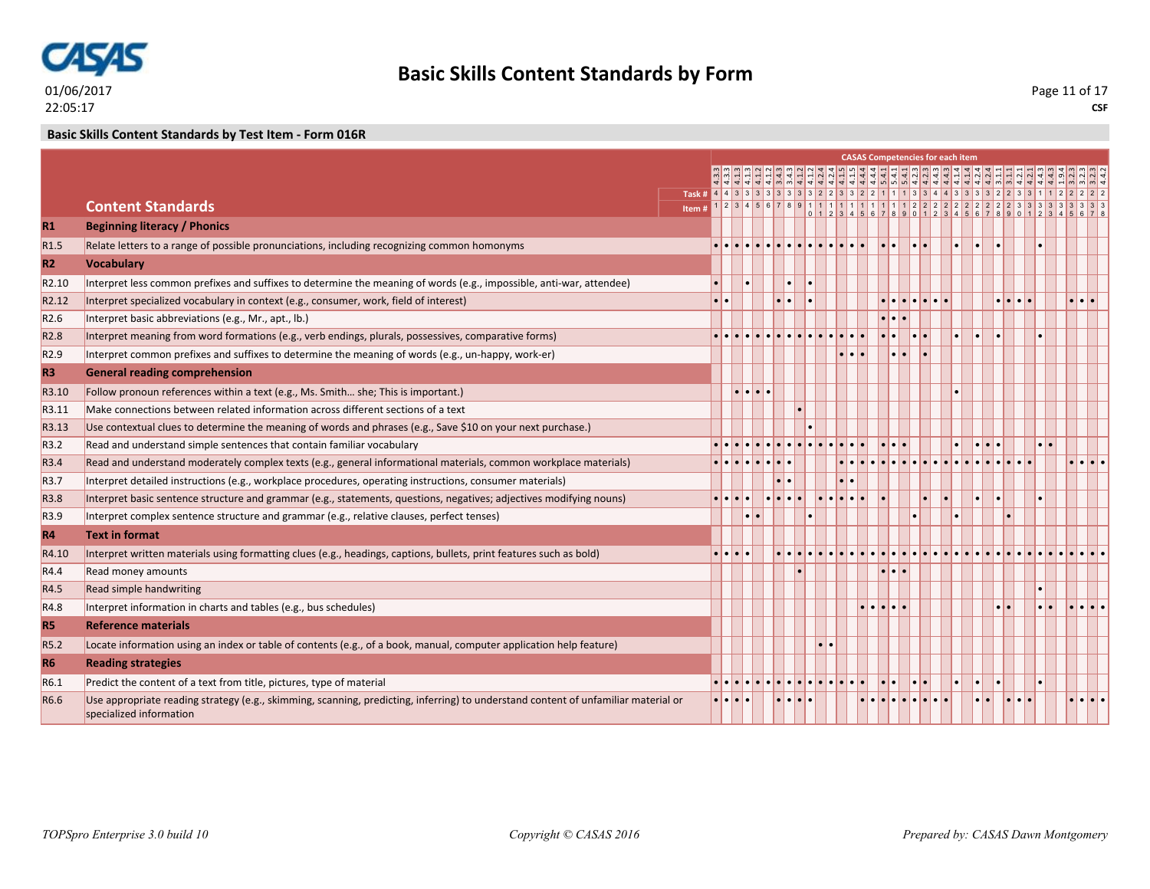

### **Basic Skills Content Standards by Test Item - Form 016R**

|                   |                                                                                                                                                               |                                                                                        |            |                                           |                              |                  |  |  |   | <b>CASAS Competencies for each item</b> |  |       |  |  |
|-------------------|---------------------------------------------------------------------------------------------------------------------------------------------------------------|----------------------------------------------------------------------------------------|------------|-------------------------------------------|------------------------------|------------------|--|--|---|-----------------------------------------|--|-------|--|--|
|                   |                                                                                                                                                               |                                                                                        |            |                                           |                              |                  |  |  |   |                                         |  |       |  |  |
|                   |                                                                                                                                                               | Task # 4 4 3 3 3 3 3 3 3 3 3 3 2 2 3 3 2 2 1 1 1 3 3 4 4 3 3 3 3 2 2 3 3 1 1 2 2 2 2 2 |            |                                           |                              |                  |  |  |   |                                         |  |       |  |  |
|                   | <b>Content Standards</b>                                                                                                                                      | Item#                                                                                  |            |                                           |                              |                  |  |  |   |                                         |  |       |  |  |
| R1                | <b>Beginning literacy / Phonics</b>                                                                                                                           |                                                                                        |            |                                           |                              |                  |  |  |   |                                         |  |       |  |  |
| R <sub>1.5</sub>  | Relate letters to a range of possible pronunciations, including recognizing common homonyms                                                                   |                                                                                        |            |                                           |                              |                  |  |  |   |                                         |  |       |  |  |
| R <sub>2</sub>    | <b>Vocabulary</b>                                                                                                                                             |                                                                                        |            |                                           |                              |                  |  |  |   |                                         |  |       |  |  |
| R <sub>2.10</sub> | Interpret less common prefixes and suffixes to determine the meaning of words (e.g., impossible, anti-war, attendee)                                          |                                                                                        |            |                                           |                              |                  |  |  |   |                                         |  |       |  |  |
| R <sub>2.12</sub> | Interpret specialized vocabulary in context (e.g., consumer, work, field of interest)                                                                         |                                                                                        |            |                                           |                              |                  |  |  |   |                                         |  |       |  |  |
| R <sub>2.6</sub>  | Interpret basic abbreviations (e.g., Mr., apt., lb.)                                                                                                          |                                                                                        |            |                                           |                              |                  |  |  | . |                                         |  |       |  |  |
| R <sub>2.8</sub>  | Interpret meaning from word formations (e.g., verb endings, plurals, possessives, comparative forms)                                                          |                                                                                        |            |                                           |                              |                  |  |  |   |                                         |  |       |  |  |
| R <sub>2.9</sub>  | Interpret common prefixes and suffixes to determine the meaning of words (e.g., un-happy, work-er)                                                            |                                                                                        |            |                                           |                              |                  |  |  |   |                                         |  |       |  |  |
| R3                | <b>General reading comprehension</b>                                                                                                                          |                                                                                        |            |                                           |                              |                  |  |  |   |                                         |  |       |  |  |
| R3.10             | Follow pronoun references within a text (e.g., Ms. Smith she; This is important.)                                                                             |                                                                                        |            | $\bullet \bullet \bullet \bullet \bullet$ |                              |                  |  |  |   |                                         |  |       |  |  |
| R3.11             | Make connections between related information across different sections of a text                                                                              |                                                                                        |            |                                           |                              |                  |  |  |   |                                         |  |       |  |  |
| R3.13             | Use contextual clues to determine the meaning of words and phrases (e.g., Save \$10 on your next purchase.)                                                   |                                                                                        |            |                                           |                              |                  |  |  |   |                                         |  |       |  |  |
| R3.2              | Read and understand simple sentences that contain familiar vocabulary                                                                                         |                                                                                        |            |                                           |                              |                  |  |  |   |                                         |  |       |  |  |
| R3.4              | Read and understand moderately complex texts (e.g., general informational materials, common workplace materials)                                              |                                                                                        |            |                                           |                              |                  |  |  |   |                                         |  |       |  |  |
| R3.7              | Interpret detailed instructions (e.g., workplace procedures, operating instructions, consumer materials)                                                      |                                                                                        |            |                                           |                              | $\bullet\bullet$ |  |  |   |                                         |  |       |  |  |
| R3.8              | Interpret basic sentence structure and grammar (e.g., statements, questions, negatives; adjectives modifying nouns)                                           |                                                                                        |            |                                           |                              |                  |  |  |   |                                         |  |       |  |  |
| R3.9              | Interpret complex sentence structure and grammar (e.g., relative clauses, perfect tenses)                                                                     |                                                                                        |            |                                           |                              |                  |  |  |   |                                         |  |       |  |  |
| <b>R4</b>         | <b>Text in format</b>                                                                                                                                         |                                                                                        |            |                                           |                              |                  |  |  |   |                                         |  |       |  |  |
| R4.10             | Interpret written materials using formatting clues (e.g., headings, captions, bullets, print features such as bold)                                           |                                                                                        |            |                                           |                              |                  |  |  |   |                                         |  |       |  |  |
| R4.4              | Read money amounts                                                                                                                                            |                                                                                        |            |                                           |                              |                  |  |  |   |                                         |  |       |  |  |
| R4.5              | Read simple handwriting                                                                                                                                       |                                                                                        |            |                                           |                              |                  |  |  |   |                                         |  |       |  |  |
| R4.8              | Interpret information in charts and tables (e.g., bus schedules)                                                                                              |                                                                                        |            |                                           |                              |                  |  |  |   |                                         |  |       |  |  |
| <b>R5</b>         | <b>Reference materials</b>                                                                                                                                    |                                                                                        |            |                                           |                              |                  |  |  |   |                                         |  |       |  |  |
| R <sub>5.2</sub>  | Locate information using an index or table of contents (e.g., of a book, manual, computer application help feature)                                           |                                                                                        |            |                                           |                              |                  |  |  |   |                                         |  |       |  |  |
| <b>R6</b>         | <b>Reading strategies</b>                                                                                                                                     |                                                                                        |            |                                           |                              |                  |  |  |   |                                         |  |       |  |  |
| R6.1              | Predict the content of a text from title, pictures, type of material                                                                                          |                                                                                        |            |                                           | <u>elelelelelelelelelele</u> |                  |  |  |   |                                         |  |       |  |  |
| R6.6              | Use appropriate reading strategy (e.g., skimming, scanning, predicting, inferring) to understand content of unfamiliar material or<br>specialized information |                                                                                        | ە اما ما م |                                           |                              |                  |  |  |   |                                         |  | lo lo |  |  |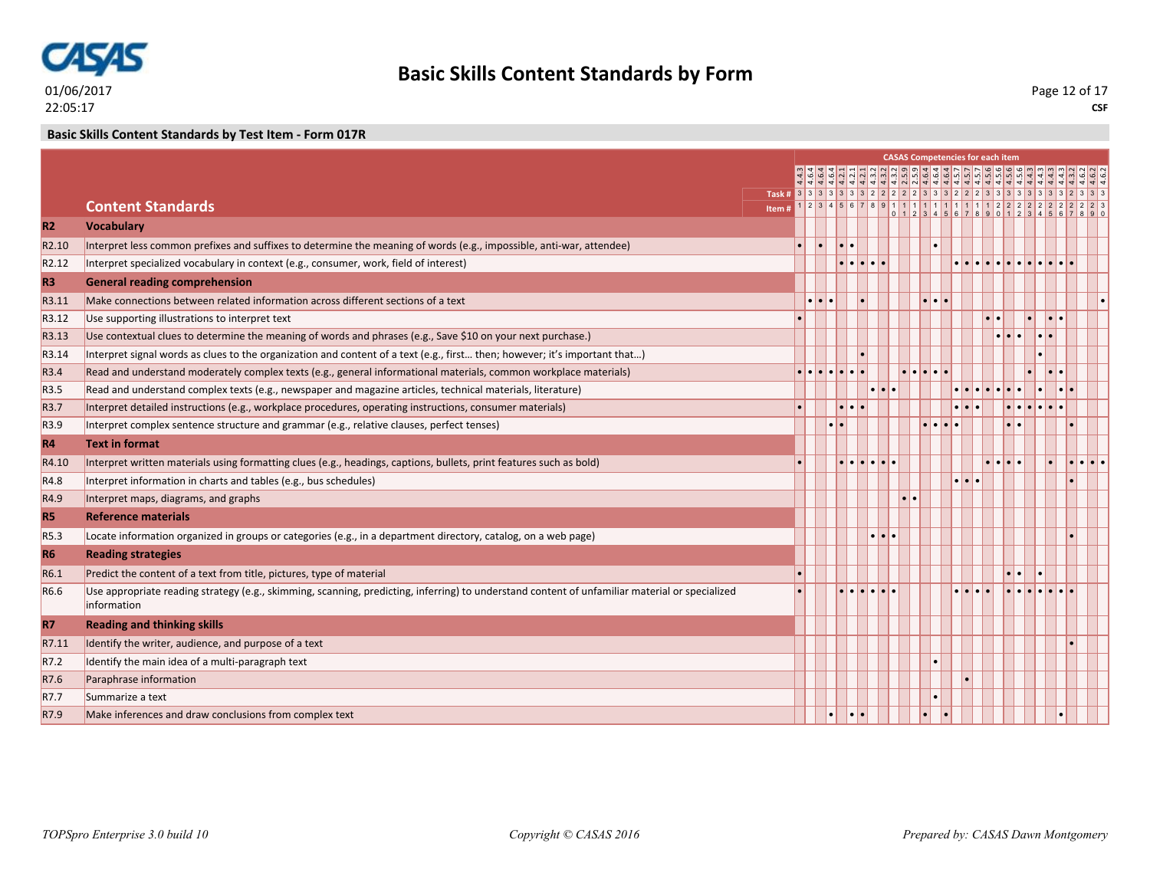

### **Basic Skills Content Standards by Test Item - Form 017R**

|                    |                                                                                                                                                |       |   |           |                          |                         |                         |                                    | <b>CASAS Competencies for each item</b> |                     |                                                                                                                                                                                                                                                                                                    |         |  |
|--------------------|------------------------------------------------------------------------------------------------------------------------------------------------|-------|---|-----------|--------------------------|-------------------------|-------------------------|------------------------------------|-----------------------------------------|---------------------|----------------------------------------------------------------------------------------------------------------------------------------------------------------------------------------------------------------------------------------------------------------------------------------------------|---------|--|
|                    |                                                                                                                                                |       |   |           |                          |                         |                         |                                    |                                         |                     | وأماما فاستواه والماه والماما فاخلفها والماها والمالية والمناسب<br>निक के बाद के साथ की बाद को दी है। बाद की बाद की बाद की बाद की बाद की बाद की बाद की बाद की बाद की बाद की बाद क<br>सिर्फ को को जी जी जी जी की बाद की जी जी की बाद की बाद की बाद की बाद की बाद की बाद की बाद की बाद की बाद की बाद |         |  |
|                    |                                                                                                                                                |       |   |           |                          |                         |                         |                                    |                                         |                     | Task # 3 3 3 3 3 3 3 3 2 2 2 2 3 3 3 2 2 2 3 3 3 3 3 3 3 3 3 3 3 3 4 2 3 3                                                                                                                                                                                                                         |         |  |
|                    | <b>Content Standards</b>                                                                                                                       | Item# |   |           |                          |                         |                         |                                    |                                         |                     |                                                                                                                                                                                                                                                                                                    |         |  |
| <b>R2</b>          | <b>Vocabulary</b>                                                                                                                              |       |   |           |                          |                         |                         |                                    |                                         |                     |                                                                                                                                                                                                                                                                                                    |         |  |
| R <sub>2.10</sub>  | Interpret less common prefixes and suffixes to determine the meaning of words (e.g., impossible, anti-war, attendee)                           |       |   |           | $\overline{\phantom{a}}$ |                         |                         |                                    |                                         |                     |                                                                                                                                                                                                                                                                                                    |         |  |
| R <sub>2.12</sub>  | Interpret specialized vocabulary in context (e.g., consumer, work, field of interest)                                                          |       |   |           |                          |                         |                         |                                    |                                         |                     |                                                                                                                                                                                                                                                                                                    |         |  |
| R <sub>3</sub>     | <b>General reading comprehension</b>                                                                                                           |       |   |           |                          |                         |                         |                                    |                                         |                     |                                                                                                                                                                                                                                                                                                    |         |  |
| R3.11              | Make connections between related information across different sections of a text                                                               |       |   |           |                          |                         |                         |                                    |                                         |                     |                                                                                                                                                                                                                                                                                                    |         |  |
| R <sub>3</sub> .12 | Use supporting illustrations to interpret text                                                                                                 |       |   |           |                          |                         |                         |                                    |                                         |                     | I.                                                                                                                                                                                                                                                                                                 | l . l . |  |
| R3.13              | Use contextual clues to determine the meaning of words and phrases (e.g., Save \$10 on your next purchase.)                                    |       |   |           |                          |                         |                         |                                    |                                         |                     |                                                                                                                                                                                                                                                                                                    |         |  |
| R3.14              | Interpret signal words as clues to the organization and content of a text (e.g., first then; however; it's important that)                     |       |   |           |                          |                         |                         |                                    |                                         |                     |                                                                                                                                                                                                                                                                                                    |         |  |
| R3.4               | Read and understand moderately complex texts (e.g., general informational materials, common workplace materials)                               |       | . |           |                          |                         |                         | $ \bullet \bullet \bullet \bullet$ |                                         |                     |                                                                                                                                                                                                                                                                                                    | l o l o |  |
| R <sub>3.5</sub>   | Read and understand complex texts (e.g., newspaper and magazine articles, technical materials, literature)                                     |       |   |           |                          |                         | $\bullet\bullet\bullet$ |                                    |                                         |                     |                                                                                                                                                                                                                                                                                                    |         |  |
| R <sub>3.7</sub>   | Interpret detailed instructions (e.g., workplace procedures, operating instructions, consumer materials)                                       |       |   |           | $\cdot$ $\cdot$ $\cdot$  |                         |                         |                                    | $\cdot \cdot \cdot$                     |                     | e le le le le                                                                                                                                                                                                                                                                                      |         |  |
| R <sub>3.9</sub>   | Interpret complex sentence structure and grammar (e.g., relative clauses, perfect tenses)                                                      |       |   |           |                          |                         |                         |                                    |                                         |                     |                                                                                                                                                                                                                                                                                                    |         |  |
| <b>R4</b>          | <b>Text in format</b>                                                                                                                          |       |   |           |                          |                         |                         |                                    |                                         |                     |                                                                                                                                                                                                                                                                                                    |         |  |
| R4.10              | Interpret written materials using formatting clues (e.g., headings, captions, bullets, print features such as bold)                            |       |   |           |                          |                         |                         |                                    |                                         |                     |                                                                                                                                                                                                                                                                                                    |         |  |
| R4.8               | Interpret information in charts and tables (e.g., bus schedules)                                                                               |       |   |           |                          |                         |                         |                                    | $\cdot \cdot \cdot$                     |                     |                                                                                                                                                                                                                                                                                                    |         |  |
| R4.9               | Interpret maps, diagrams, and graphs                                                                                                           |       |   |           |                          |                         |                         |                                    |                                         |                     |                                                                                                                                                                                                                                                                                                    |         |  |
| <b>R5</b>          | <b>Reference materials</b>                                                                                                                     |       |   |           |                          |                         |                         |                                    |                                         |                     |                                                                                                                                                                                                                                                                                                    |         |  |
| R5.3               | Locate information organized in groups or categories (e.g., in a department directory, catalog, on a web page)                                 |       |   |           |                          | $\bullet\bullet\bullet$ |                         |                                    |                                         |                     |                                                                                                                                                                                                                                                                                                    |         |  |
| <b>R6</b>          | <b>Reading strategies</b>                                                                                                                      |       |   |           |                          |                         |                         |                                    |                                         |                     |                                                                                                                                                                                                                                                                                                    |         |  |
| R6.1               | Predict the content of a text from title, pictures, type of material                                                                           |       |   |           |                          |                         |                         |                                    |                                         | $\cdot \cdot \cdot$ |                                                                                                                                                                                                                                                                                                    |         |  |
| R <sub>6.6</sub>   | Use appropriate reading strategy (e.g., skimming, scanning, predicting, inferring) to understand content of unfamiliar material or specialized |       |   |           |                          | <u>.</u>                |                         |                                    |                                         |                     |                                                                                                                                                                                                                                                                                                    |         |  |
|                    | information                                                                                                                                    |       |   |           |                          |                         |                         |                                    |                                         |                     |                                                                                                                                                                                                                                                                                                    |         |  |
| <b>R7</b>          | <b>Reading and thinking skills</b>                                                                                                             |       |   |           |                          |                         |                         |                                    |                                         |                     |                                                                                                                                                                                                                                                                                                    |         |  |
| R7.11              | Identify the writer, audience, and purpose of a text                                                                                           |       |   |           |                          |                         |                         |                                    |                                         |                     |                                                                                                                                                                                                                                                                                                    |         |  |
| R7.2               | Identify the main idea of a multi-paragraph text                                                                                               |       |   |           |                          |                         |                         |                                    |                                         |                     |                                                                                                                                                                                                                                                                                                    |         |  |
| R7.6               | Paraphrase information                                                                                                                         |       |   |           |                          |                         |                         |                                    |                                         |                     |                                                                                                                                                                                                                                                                                                    |         |  |
| R7.7               | Summarize a text                                                                                                                               |       |   |           |                          |                         |                         |                                    |                                         |                     |                                                                                                                                                                                                                                                                                                    |         |  |
| R7.9               | Make inferences and draw conclusions from complex text                                                                                         |       |   | $\bullet$ | •∣•                      |                         |                         |                                    |                                         |                     |                                                                                                                                                                                                                                                                                                    |         |  |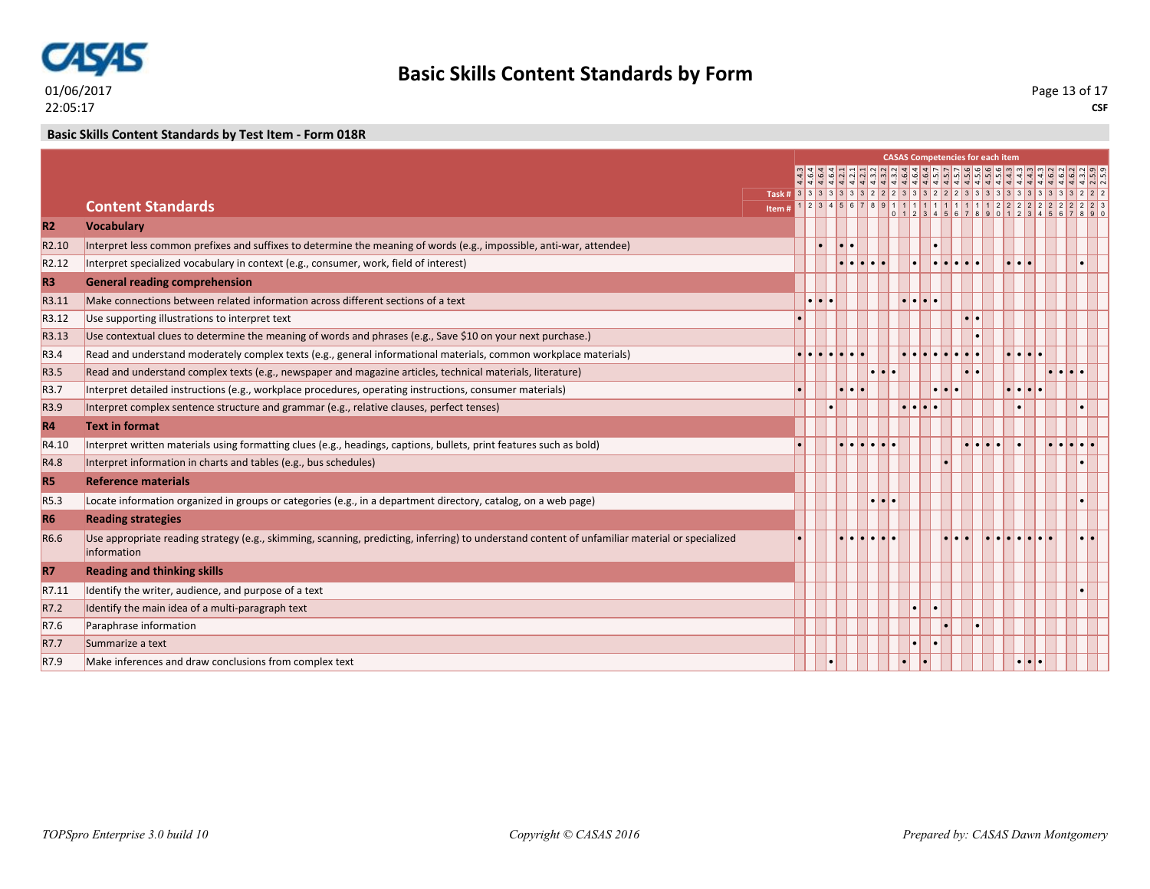

**CSF** Page 13 of 17

### **Basic Skills Content Standards by Test Item - Form 018R**

|                   |                                                                                                                                                               |                                                                                  |                  |                          |              |                         | <b>CASAS Competencies for each item</b>     |                         |                         |                                             |                                |                                     |
|-------------------|---------------------------------------------------------------------------------------------------------------------------------------------------------------|----------------------------------------------------------------------------------|------------------|--------------------------|--------------|-------------------------|---------------------------------------------|-------------------------|-------------------------|---------------------------------------------|--------------------------------|-------------------------------------|
|                   |                                                                                                                                                               |                                                                                  |                  |                          |              |                         |                                             |                         |                         |                                             |                                |                                     |
|                   |                                                                                                                                                               | Task # 3 3 3 3 3 3 3 3 3 2 2 2 3 3 3 2 2 2 3 3 3 3 3 3 3 3 3 3 3 3 3 3 3 4 2 2 2 |                  |                          |              |                         |                                             |                         |                         |                                             |                                |                                     |
|                   | <b>Content Standards</b>                                                                                                                                      | Item#                                                                            |                  |                          |              |                         |                                             |                         |                         |                                             |                                | $234567891111111111112222222222223$ |
| <b>R2</b>         | <b>Vocabulary</b>                                                                                                                                             |                                                                                  |                  |                          |              |                         |                                             |                         |                         |                                             |                                |                                     |
| R <sub>2.10</sub> | Interpret less common prefixes and suffixes to determine the meaning of words (e.g., impossible, anti-war, attendee)                                          |                                                                                  |                  | $\overline{\phantom{a}}$ |              |                         |                                             |                         |                         |                                             |                                |                                     |
| R <sub>2.12</sub> | Interpret specialized vocabulary in context (e.g., consumer, work, field of interest)                                                                         |                                                                                  |                  |                          | ا ما ما ما م |                         |                                             | la la la la la          |                         | .                                           |                                |                                     |
| R <sub>3</sub>    | <b>General reading comprehension</b>                                                                                                                          |                                                                                  |                  |                          |              |                         |                                             |                         |                         |                                             |                                |                                     |
| R3.11             | Make connections between related information across different sections of a text                                                                              |                                                                                  | $\bullet\bullet$ |                          |              |                         | .                                           |                         |                         |                                             |                                |                                     |
| R3.12             | Use supporting illustrations to interpret text                                                                                                                |                                                                                  |                  |                          |              |                         |                                             |                         | $\bullet\bullet$        |                                             |                                |                                     |
| R3.13             | Use contextual clues to determine the meaning of words and phrases (e.g., Save \$10 on your next purchase.)                                                   |                                                                                  |                  |                          |              |                         |                                             |                         |                         |                                             |                                |                                     |
| R <sub>3.4</sub>  | Read and understand moderately complex texts (e.g., general informational materials, common workplace materials)                                              |                                                                                  |                  |                          |              |                         | la la la la la la la la                     |                         |                         | $  \bullet   \bullet   \bullet   \bullet  $ |                                |                                     |
| R <sub>3.5</sub>  | Read and understand complex texts (e.g., newspaper and magazine articles, technical materials, literature)                                                    |                                                                                  |                  |                          |              | $\cdot \cdot \cdot$     |                                             |                         | $  \bullet   \bullet  $ |                                             | $\bullet\bullet\bullet\bullet$ |                                     |
| R <sub>3.7</sub>  | Interpret detailed instructions (e.g., workplace procedures, operating instructions, consumer materials)                                                      |                                                                                  |                  |                          | alala.       |                         |                                             | $\bullet\bullet\bullet$ |                         | .                                           |                                |                                     |
| R3.9              | Interpret complex sentence structure and grammar (e.g., relative clauses, perfect tenses)                                                                     |                                                                                  |                  |                          |              |                         | $  \bullet   \bullet   \bullet   \bullet  $ |                         |                         |                                             |                                |                                     |
| <b>R4</b>         | <b>Text in format</b>                                                                                                                                         |                                                                                  |                  |                          |              |                         |                                             |                         |                         |                                             |                                |                                     |
| R4.10             | Interpret written materials using formatting clues (e.g., headings, captions, bullets, print features such as bold)                                           |                                                                                  |                  |                          |              | elelelelele             |                                             |                         | alalala.                |                                             | e le le le le                  |                                     |
| R4.8              | Interpret information in charts and tables (e.g., bus schedules)                                                                                              |                                                                                  |                  |                          |              |                         |                                             |                         |                         |                                             |                                |                                     |
| <b>R5</b>         | <b>Reference materials</b>                                                                                                                                    |                                                                                  |                  |                          |              |                         |                                             |                         |                         |                                             |                                |                                     |
| R <sub>5.3</sub>  | Locate information organized in groups or categories (e.g., in a department directory, catalog, on a web page)                                                |                                                                                  |                  |                          |              | $\bullet\bullet\bullet$ |                                             |                         |                         |                                             |                                |                                     |
| <b>R6</b>         | <b>Reading strategies</b>                                                                                                                                     |                                                                                  |                  |                          |              |                         |                                             |                         |                         |                                             |                                |                                     |
| R6.6              | Use appropriate reading strategy (e.g., skimming, scanning, predicting, inferring) to understand content of unfamiliar material or specialized<br>information |                                                                                  |                  |                          |              |                         |                                             |                         |                         |                                             |                                |                                     |
| <b>R7</b>         | <b>Reading and thinking skills</b>                                                                                                                            |                                                                                  |                  |                          |              |                         |                                             |                         |                         |                                             |                                |                                     |
| R7.11             | Identify the writer, audience, and purpose of a text                                                                                                          |                                                                                  |                  |                          |              |                         |                                             |                         |                         |                                             |                                |                                     |
| R7.2              | Identify the main idea of a multi-paragraph text                                                                                                              |                                                                                  |                  |                          |              |                         | ۱۰                                          |                         |                         |                                             |                                |                                     |
| R7.6              | Paraphrase information                                                                                                                                        |                                                                                  |                  |                          |              |                         |                                             |                         |                         |                                             |                                |                                     |
| R7.7              | Summarize a text                                                                                                                                              |                                                                                  |                  |                          |              |                         |                                             |                         |                         |                                             |                                |                                     |
| R7.9              | Make inferences and draw conclusions from complex text                                                                                                        |                                                                                  |                  |                          |              |                         |                                             |                         |                         | $\cdot \cdot \cdot$                         |                                |                                     |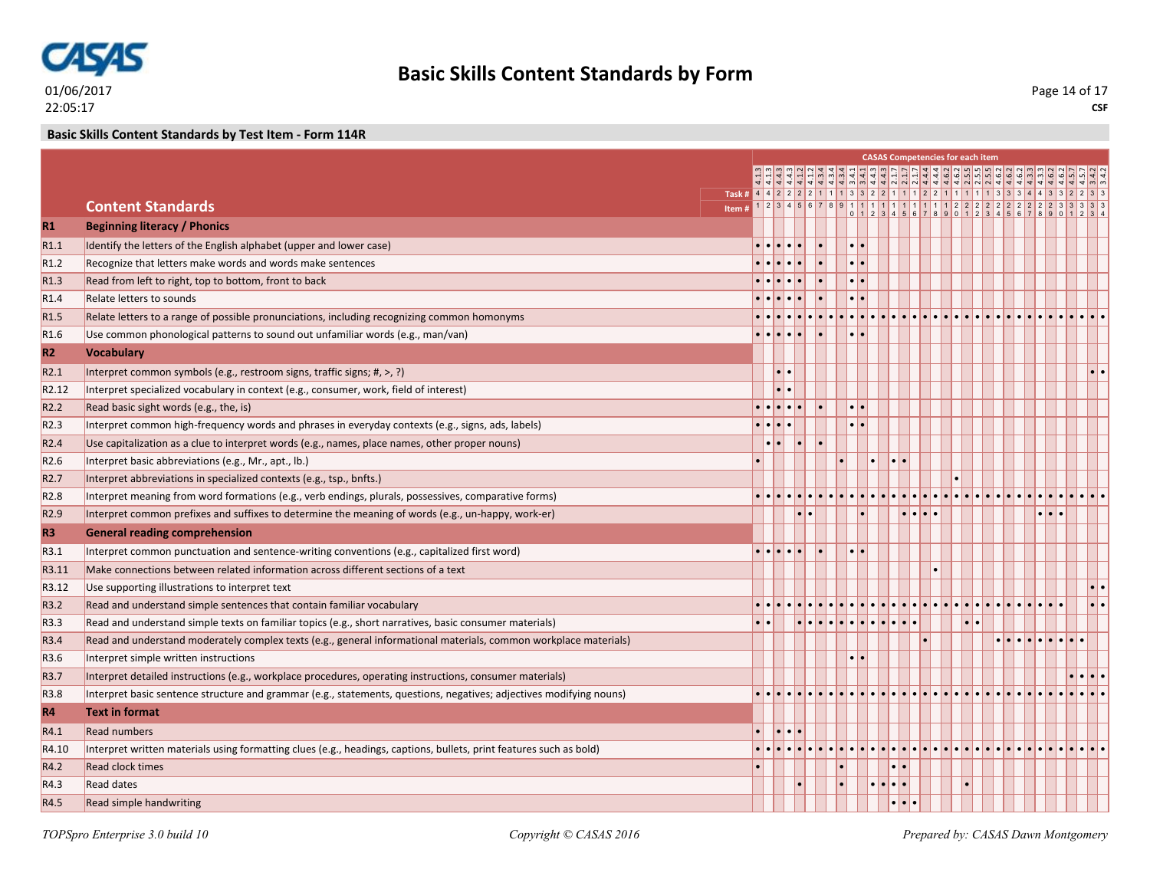

### **Basic Skills Content Standards by Test Item - Form 114R**

|                   |                                                                                                                     |                                                                      |                                                   |                     |                       |                         |                  |           |                  |   | <b>CASAS Competencies for each item</b> |  |                                                          |                   |                          |
|-------------------|---------------------------------------------------------------------------------------------------------------------|----------------------------------------------------------------------|---------------------------------------------------|---------------------|-----------------------|-------------------------|------------------|-----------|------------------|---|-----------------------------------------|--|----------------------------------------------------------|-------------------|--------------------------|
|                   |                                                                                                                     |                                                                      |                                                   |                     |                       |                         |                  |           |                  |   |                                         |  | <u>वैविविविधिश्रिण कविशिल शुक्रविविधिश्रिण शेषावविवि</u> |                   |                          |
|                   |                                                                                                                     | Task # 4 4 2 2 2 2 1 1 1 3 3 2 2 1 1 1 2 2 1 1 1 2 3 3 4 4 3 3 2 2 3 |                                                   |                     |                       |                         |                  |           |                  |   |                                         |  |                                                          |                   |                          |
|                   | <b>Content Standards</b>                                                                                            | Item#                                                                |                                                   |                     |                       |                         |                  |           |                  |   |                                         |  |                                                          |                   |                          |
| $R1$              | <b>Beginning literacy / Phonics</b>                                                                                 |                                                                      |                                                   |                     |                       |                         |                  |           |                  |   |                                         |  |                                                          |                   |                          |
| R1.1              | Identify the letters of the English alphabet (upper and lower case)                                                 |                                                                      |                                                   |                     |                       | $  \bullet   \bullet  $ |                  |           |                  |   |                                         |  |                                                          |                   |                          |
| R1.2              | Recognize that letters make words and words make sentences                                                          |                                                                      |                                                   |                     |                       |                         |                  |           |                  |   |                                         |  |                                                          |                   |                          |
| R1.3              | Read from left to right, top to bottom, front to back                                                               |                                                                      |                                                   |                     |                       |                         |                  |           |                  |   |                                         |  |                                                          |                   |                          |
| R <sub>1.4</sub>  | Relate letters to sounds                                                                                            |                                                                      |                                                   |                     |                       |                         |                  |           |                  |   |                                         |  |                                                          |                   |                          |
| R <sub>1.5</sub>  | Relate letters to a range of possible pronunciations, including recognizing common homonyms                         |                                                                      |                                                   |                     |                       |                         |                  |           |                  |   |                                         |  |                                                          |                   |                          |
| R <sub>1.6</sub>  | Use common phonological patterns to sound out unfamiliar words (e.g., man/van)                                      |                                                                      |                                                   |                     |                       |                         |                  |           |                  |   |                                         |  |                                                          |                   |                          |
| R2                | <b>Vocabulary</b>                                                                                                   |                                                                      |                                                   |                     |                       |                         |                  |           |                  |   |                                         |  |                                                          |                   |                          |
| R2.1              | Interpret common symbols (e.g., restroom signs, traffic signs; #, >, ?)                                             |                                                                      |                                                   | $\bullet$ $\bullet$ |                       |                         |                  |           |                  |   |                                         |  |                                                          |                   | $\left  \cdot \right $ . |
| R <sub>2.12</sub> | Interpret specialized vocabulary in context (e.g., consumer, work, field of interest)                               |                                                                      |                                                   |                     |                       |                         |                  |           |                  |   |                                         |  |                                                          |                   |                          |
| R <sub>2.2</sub>  | Read basic sight words (e.g., the, is)                                                                              |                                                                      | $\bullet \bullet \bullet \bullet \bullet \bullet$ |                     |                       |                         |                  |           |                  |   |                                         |  |                                                          |                   |                          |
| R <sub>2.3</sub>  | Interpret common high-frequency words and phrases in everyday contexts (e.g., signs, ads, labels)                   |                                                                      | $\bullet \bullet \bullet \bullet$                 |                     |                       |                         | $\bullet\bullet$ |           |                  |   |                                         |  |                                                          |                   |                          |
| R <sub>2.4</sub>  | Use capitalization as a clue to interpret words (e.g., names, place names, other proper nouns)                      |                                                                      |                                                   |                     | l.                    |                         |                  |           |                  |   |                                         |  |                                                          |                   |                          |
| R <sub>2.6</sub>  | Interpret basic abbreviations (e.g., Mr., apt., lb.)                                                                |                                                                      |                                                   |                     |                       |                         |                  | $\bullet$ | $\bullet\bullet$ |   |                                         |  |                                                          |                   |                          |
| R <sub>2.7</sub>  | Interpret abbreviations in specialized contexts (e.g., tsp., bnfts.)                                                |                                                                      |                                                   |                     |                       |                         |                  |           |                  |   |                                         |  |                                                          |                   |                          |
| R <sub>2.8</sub>  | Interpret meaning from word formations (e.g., verb endings, plurals, possessives, comparative forms)                |                                                                      |                                                   |                     |                       |                         |                  |           |                  |   |                                         |  |                                                          |                   |                          |
| R <sub>2.9</sub>  | Interpret common prefixes and suffixes to determine the meaning of words (e.g., un-happy, work-er)                  |                                                                      |                                                   |                     | $  \bullet   \bullet$ |                         |                  |           |                  | . |                                         |  |                                                          | $\cdot\cdot\cdot$ |                          |
| R <sub>3</sub>    | <b>General reading comprehension</b>                                                                                |                                                                      |                                                   |                     |                       |                         |                  |           |                  |   |                                         |  |                                                          |                   |                          |
| R3.1              | Interpret common punctuation and sentence-writing conventions (e.g., capitalized first word)                        |                                                                      | $\bullet$ $\bullet$ $\bullet$ $\bullet$ $\bullet$ |                     |                       |                         |                  |           |                  |   |                                         |  |                                                          |                   |                          |
| R3.11             | Make connections between related information across different sections of a text                                    |                                                                      |                                                   |                     |                       |                         |                  |           |                  |   |                                         |  |                                                          |                   |                          |
| R3.12             | Use supporting illustrations to interpret text                                                                      |                                                                      |                                                   |                     |                       |                         |                  |           |                  |   |                                         |  |                                                          |                   |                          |
| R3.2              | Read and understand simple sentences that contain familiar vocabulary                                               |                                                                      |                                                   |                     |                       |                         |                  |           |                  |   |                                         |  |                                                          |                   |                          |
| R3.3              | Read and understand simple texts on familiar topics (e.g., short narratives, basic consumer materials)              |                                                                      |                                                   |                     |                       |                         |                  |           |                  |   |                                         |  |                                                          |                   |                          |
| R3.4              | Read and understand moderately complex texts (e.g., general informational materials, common workplace materials)    |                                                                      |                                                   |                     |                       |                         |                  |           |                  |   |                                         |  | . <b>.</b> .                                             |                   |                          |
| R <sub>3.6</sub>  | Interpret simple written instructions                                                                               |                                                                      |                                                   |                     |                       |                         |                  |           |                  |   |                                         |  |                                                          |                   |                          |
| R3.7              | Interpret detailed instructions (e.g., workplace procedures, operating instructions, consumer materials)            |                                                                      |                                                   |                     |                       |                         |                  |           |                  |   |                                         |  |                                                          |                   |                          |
| R3.8              | Interpret basic sentence structure and grammar (e.g., statements, questions, negatives; adjectives modifying nouns) |                                                                      |                                                   |                     |                       |                         |                  |           |                  |   |                                         |  |                                                          |                   |                          |
| R4                | <b>Text in format</b>                                                                                               |                                                                      |                                                   |                     |                       |                         |                  |           |                  |   |                                         |  |                                                          |                   |                          |
| R4.1              | <b>Read numbers</b>                                                                                                 |                                                                      |                                                   | $\cdot \cdot \cdot$ |                       |                         |                  |           |                  |   |                                         |  |                                                          |                   |                          |
| R4.10             | Interpret written materials using formatting clues (e.g., headings, captions, bullets, print features such as bold) |                                                                      |                                                   |                     |                       |                         |                  |           |                  |   |                                         |  |                                                          |                   |                          |
| R4.2              | <b>Read clock times</b>                                                                                             |                                                                      |                                                   |                     |                       |                         |                  |           |                  |   |                                         |  |                                                          |                   |                          |
| R4.3              | <b>Read dates</b>                                                                                                   |                                                                      |                                                   |                     |                       |                         |                  |           |                  |   |                                         |  |                                                          |                   |                          |
| R4.5              | Read simple handwriting                                                                                             |                                                                      |                                                   |                     |                       |                         |                  |           | .                |   |                                         |  |                                                          |                   |                          |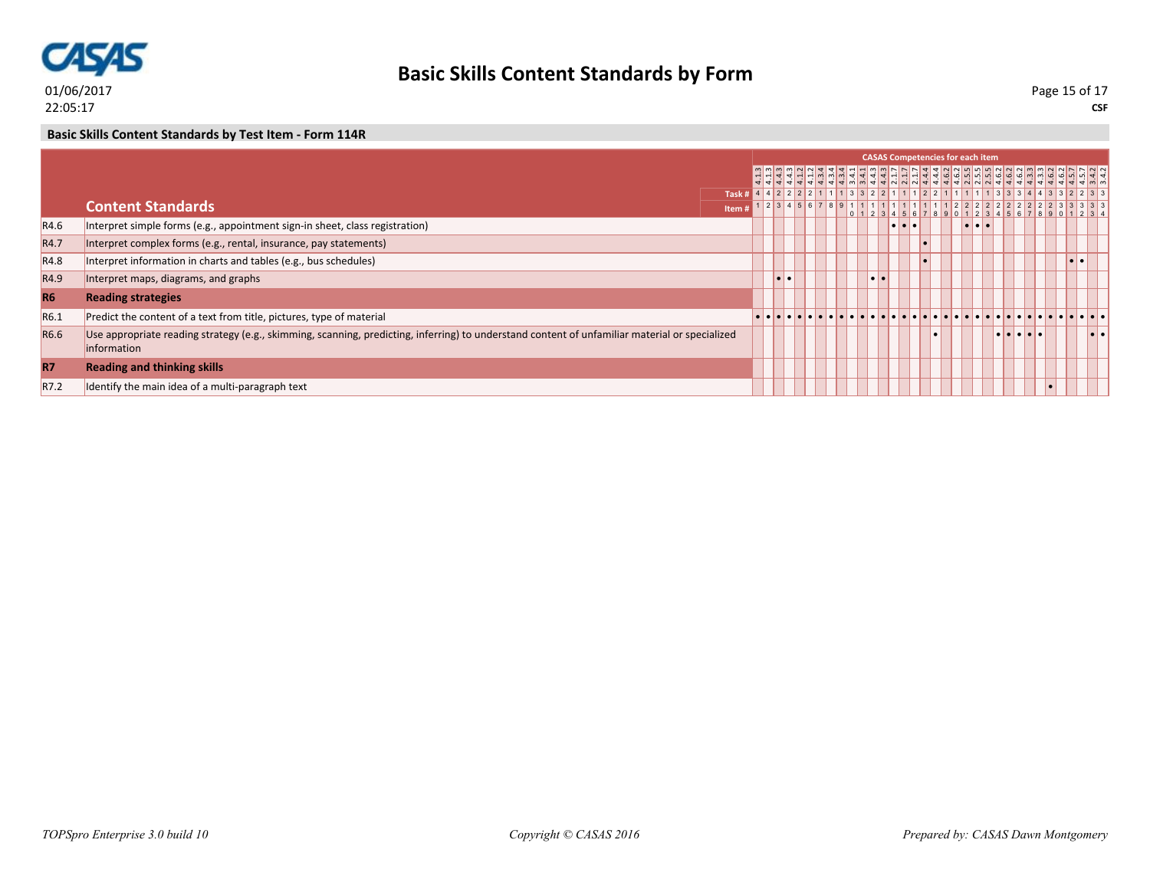

### **Basic Skills Content Standards by Test Item - Form 114R**

|                  |                                                                                                                                                               |                                                                            |                         |  |  |           |                                   | <b>CASAS Competencies for each item</b> |                                   |   |  |     |                         |
|------------------|---------------------------------------------------------------------------------------------------------------------------------------------------------------|----------------------------------------------------------------------------|-------------------------|--|--|-----------|-----------------------------------|-----------------------------------------|-----------------------------------|---|--|-----|-------------------------|
|                  |                                                                                                                                                               |                                                                            |                         |  |  |           |                                   |                                         |                                   |   |  |     |                         |
|                  |                                                                                                                                                               | Task # 4 4 2 2 2 2 2 1 1 1 3 3 2 2 1 1 1 2 2 1 1 1 2 3 3 3 4 4 3 3 2 2 3 3 |                         |  |  |           |                                   |                                         |                                   |   |  |     |                         |
|                  | <b>Content Standards</b>                                                                                                                                      | Item#                                                                      |                         |  |  |           |                                   |                                         |                                   |   |  |     |                         |
| R4.6             | Interpret simple forms (e.g., appointment sign-in sheet, class registration)                                                                                  |                                                                            |                         |  |  |           | $  \bullet   \bullet   \bullet  $ |                                         | $  \bullet   \bullet   \bullet  $ |   |  |     |                         |
| R4.7             | Interpret complex forms (e.g., rental, insurance, pay statements)                                                                                             |                                                                            |                         |  |  |           |                                   |                                         |                                   |   |  |     |                         |
| R4.8             | Interpret information in charts and tables (e.g., bus schedules)                                                                                              |                                                                            |                         |  |  |           |                                   |                                         |                                   |   |  | . . |                         |
| R4.9             | Interpret maps, diagrams, and graphs                                                                                                                          |                                                                            | $  \bullet   \bullet  $ |  |  | $\bullet$ |                                   |                                         |                                   |   |  |     |                         |
| <b>R6</b>        | <b>Reading strategies</b>                                                                                                                                     |                                                                            |                         |  |  |           |                                   |                                         |                                   |   |  |     |                         |
| R6.1             | Predict the content of a text from title, pictures, type of material                                                                                          |                                                                            |                         |  |  |           |                                   |                                         |                                   |   |  |     |                         |
| R <sub>6.6</sub> | Use appropriate reading strategy (e.g., skimming, scanning, predicting, inferring) to understand content of unfamiliar material or specialized<br>information |                                                                            |                         |  |  |           |                                   |                                         |                                   | . |  |     | $  \bullet   \bullet  $ |
| <b>R7</b>        | <b>Reading and thinking skills</b>                                                                                                                            |                                                                            |                         |  |  |           |                                   |                                         |                                   |   |  |     |                         |
| R7.2             | Identify the main idea of a multi-paragraph text                                                                                                              |                                                                            |                         |  |  |           |                                   |                                         |                                   |   |  |     |                         |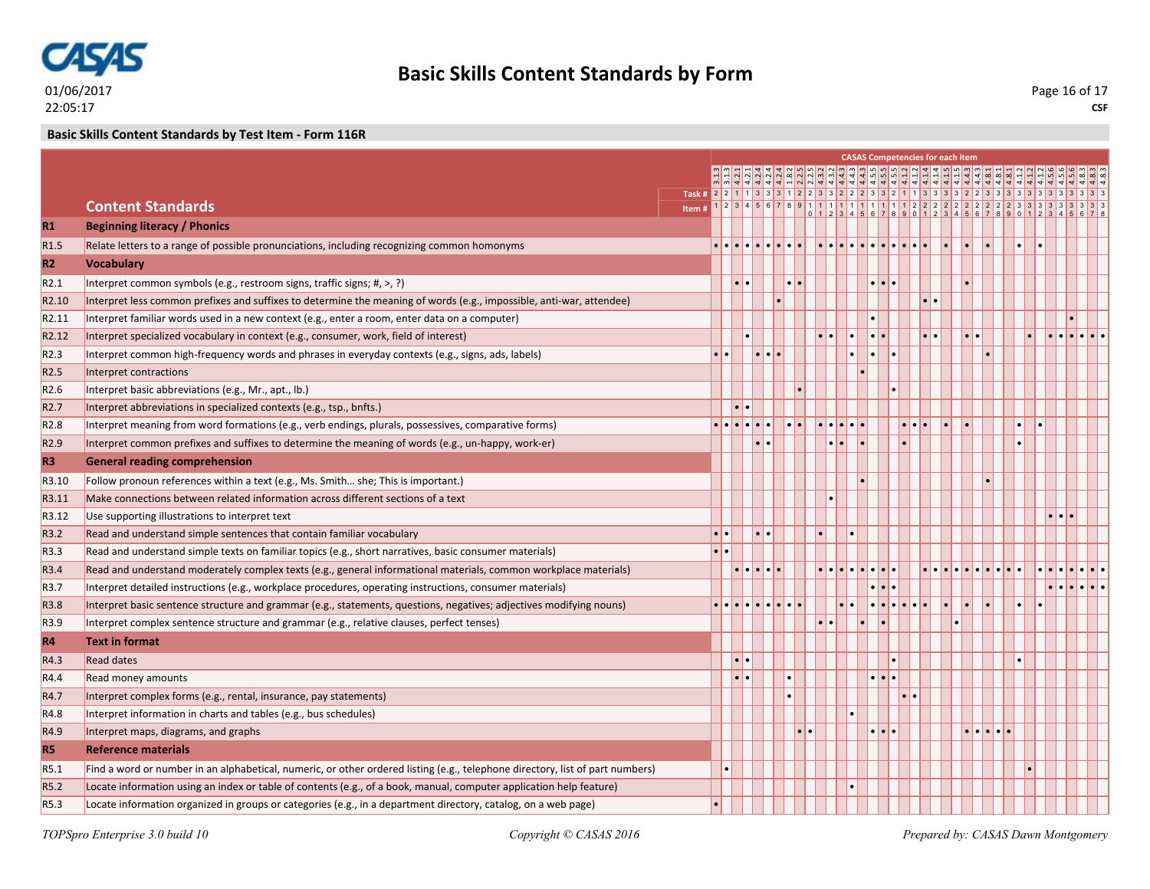

### **Basic Skills Content Standards by Test Item - Form 116R**

|                   |                                                                                                                               |                                                                                 |                                         |                     |                                                                                                           |                     |                         | <b>CASAS Competencies for each item</b>                                                |                                     |  |                                                       |  |
|-------------------|-------------------------------------------------------------------------------------------------------------------------------|---------------------------------------------------------------------------------|-----------------------------------------|---------------------|-----------------------------------------------------------------------------------------------------------|---------------------|-------------------------|----------------------------------------------------------------------------------------|-------------------------------------|--|-------------------------------------------------------|--|
|                   |                                                                                                                               |                                                                                 |                                         |                     |                                                                                                           |                     |                         | ان إن إن إن إن إن الله إن إن إن إن إن إن إن إن إن إن إن الله إن إن إن إن الله إن إن إن |                                     |  |                                                       |  |
|                   |                                                                                                                               |                                                                                 |                                         |                     |                                                                                                           |                     |                         |                                                                                        |                                     |  |                                                       |  |
|                   | <b>Content Standards</b><br>Item#                                                                                             |                                                                                 |                                         |                     |                                                                                                           |                     |                         |                                                                                        |                                     |  |                                                       |  |
| R1                | <b>Beginning literacy / Phonics</b>                                                                                           |                                                                                 |                                         |                     |                                                                                                           |                     |                         |                                                                                        |                                     |  |                                                       |  |
| R <sub>1.5</sub>  | Relate letters to a range of possible pronunciations, including recognizing common homonyms                                   | $\bullet\bullet\bullet\bullet\bullet\bullet\bullet\bullet\bullet\bullet\bullet$ |                                         |                     | $\bullet \bullet \bullet \bullet \bullet \bullet \bullet \bullet \bullet \bullet \bullet \bullet \bullet$ |                     |                         |                                                                                        |                                     |  |                                                       |  |
| R2                | <b>Vocabulary</b>                                                                                                             |                                                                                 |                                         |                     |                                                                                                           |                     |                         |                                                                                        |                                     |  |                                                       |  |
| R2.1              | Interpret common symbols (e.g., restroom signs, traffic signs; #, >, ?)                                                       |                                                                                 |                                         |                     |                                                                                                           | $\cdot \cdot \cdot$ |                         |                                                                                        |                                     |  |                                                       |  |
| R <sub>2.10</sub> | Interpret less common prefixes and suffixes to determine the meaning of words (e.g., impossible, anti-war, attendee)          |                                                                                 |                                         |                     |                                                                                                           |                     |                         |                                                                                        |                                     |  |                                                       |  |
| R2.11             | Interpret familiar words used in a new context (e.g., enter a room, enter data on a computer)                                 |                                                                                 |                                         |                     |                                                                                                           |                     |                         |                                                                                        |                                     |  |                                                       |  |
| R <sub>2.12</sub> | Interpret specialized vocabulary in context (e.g., consumer, work, field of interest)                                         |                                                                                 |                                         |                     |                                                                                                           | $\cdot \cdot$       |                         |                                                                                        |                                     |  | $  \bullet   \bullet   \bullet   \bullet   \bullet  $ |  |
| R <sub>2.3</sub>  | Interpret common high-frequency words and phrases in everyday contexts (e.g., signs, ads, labels)                             |                                                                                 | $\cdot \cdot \cdot$                     |                     |                                                                                                           |                     |                         |                                                                                        |                                     |  |                                                       |  |
| R <sub>2.5</sub>  | Interpret contractions                                                                                                        |                                                                                 |                                         |                     |                                                                                                           |                     |                         |                                                                                        |                                     |  |                                                       |  |
| R <sub>2.6</sub>  | Interpret basic abbreviations (e.g., Mr., apt., lb.)                                                                          |                                                                                 |                                         |                     |                                                                                                           |                     |                         |                                                                                        |                                     |  |                                                       |  |
| R <sub>2.7</sub>  | Interpret abbreviations in specialized contexts (e.g., tsp., bnfts.)                                                          |                                                                                 |                                         |                     |                                                                                                           |                     |                         |                                                                                        |                                     |  |                                                       |  |
| R <sub>2.8</sub>  | Interpret meaning from word formations (e.g., verb endings, plurals, possessives, comparative forms)                          | .                                                                               |                                         |                     | $\bullet \bullet \bullet \bullet \bullet \bullet$                                                         |                     | $\bullet\bullet\bullet$ |                                                                                        |                                     |  |                                                       |  |
| R <sub>2.9</sub>  | Interpret common prefixes and suffixes to determine the meaning of words (e.g., un-happy, work-er)                            |                                                                                 | $\bullet\bullet$                        |                     | $\bullet\bullet$                                                                                          |                     |                         |                                                                                        |                                     |  |                                                       |  |
| R <sub>3</sub>    | <b>General reading comprehension</b>                                                                                          |                                                                                 |                                         |                     |                                                                                                           |                     |                         |                                                                                        |                                     |  |                                                       |  |
| R3.10             | Follow pronoun references within a text (e.g., Ms. Smith she; This is important.)                                             |                                                                                 |                                         |                     |                                                                                                           |                     |                         |                                                                                        |                                     |  |                                                       |  |
| R3.11             | Make connections between related information across different sections of a text                                              |                                                                                 |                                         |                     |                                                                                                           |                     |                         |                                                                                        |                                     |  |                                                       |  |
| R3.12             | Use supporting illustrations to interpret text                                                                                |                                                                                 |                                         |                     |                                                                                                           |                     |                         |                                                                                        |                                     |  |                                                       |  |
| R3.2              | Read and understand simple sentences that contain familiar vocabulary                                                         |                                                                                 |                                         |                     |                                                                                                           |                     |                         |                                                                                        |                                     |  |                                                       |  |
| R3.3              | Read and understand simple texts on familiar topics (e.g., short narratives, basic consumer materials)                        |                                                                                 |                                         |                     |                                                                                                           |                     |                         |                                                                                        |                                     |  |                                                       |  |
| R3.4              | Read and understand moderately complex texts (e.g., general informational materials, common workplace materials)              |                                                                                 | $\bullet$ $\bullet$ $\bullet$ $\bullet$ |                     |                                                                                                           |                     |                         |                                                                                        |                                     |  |                                                       |  |
| R3.7              | Interpret detailed instructions (e.g., workplace procedures, operating instructions, consumer materials)                      |                                                                                 |                                         |                     |                                                                                                           |                     |                         |                                                                                        |                                     |  |                                                       |  |
| R3.8              | Interpret basic sentence structure and grammar (e.g., statements, questions, negatives; adjectives modifying nouns)           | e le le le le le le                                                             |                                         |                     |                                                                                                           |                     |                         |                                                                                        |                                     |  |                                                       |  |
| R3.9              | Interpret complex sentence structure and grammar (e.g., relative clauses, perfect tenses)                                     |                                                                                 |                                         |                     |                                                                                                           |                     |                         |                                                                                        |                                     |  |                                                       |  |
| R4                | <b>Text in format</b>                                                                                                         |                                                                                 |                                         |                     |                                                                                                           |                     |                         |                                                                                        |                                     |  |                                                       |  |
| R4.3              | <b>Read dates</b>                                                                                                             |                                                                                 |                                         |                     |                                                                                                           |                     |                         |                                                                                        |                                     |  |                                                       |  |
| R4.4              | Read money amounts                                                                                                            |                                                                                 |                                         |                     |                                                                                                           | $\cdot \cdot \cdot$ |                         |                                                                                        |                                     |  |                                                       |  |
| R4.7              | Interpret complex forms (e.g., rental, insurance, pay statements)                                                             |                                                                                 |                                         |                     |                                                                                                           |                     |                         |                                                                                        |                                     |  |                                                       |  |
| R4.8              | Interpret information in charts and tables (e.g., bus schedules)                                                              |                                                                                 |                                         |                     |                                                                                                           |                     |                         |                                                                                        |                                     |  |                                                       |  |
| R4.9              | Interpret maps, diagrams, and graphs                                                                                          |                                                                                 |                                         | $\bullet$ $\bullet$ |                                                                                                           | $\cdot \cdot \cdot$ |                         |                                                                                        | $  \cdot   \cdot   \cdot   \cdot  $ |  |                                                       |  |
| <b>R5</b>         | <b>Reference materials</b>                                                                                                    |                                                                                 |                                         |                     |                                                                                                           |                     |                         |                                                                                        |                                     |  |                                                       |  |
| R5.1              | Find a word or number in an alphabetical, numeric, or other ordered listing (e.g., telephone directory, list of part numbers) |                                                                                 |                                         |                     |                                                                                                           |                     |                         |                                                                                        |                                     |  |                                                       |  |
| R <sub>5.2</sub>  | Locate information using an index or table of contents (e.g., of a book, manual, computer application help feature)           |                                                                                 |                                         |                     |                                                                                                           |                     |                         |                                                                                        |                                     |  |                                                       |  |
| R <sub>5.3</sub>  | Locate information organized in groups or categories (e.g., in a department directory, catalog, on a web page)                |                                                                                 |                                         |                     |                                                                                                           |                     |                         |                                                                                        |                                     |  |                                                       |  |